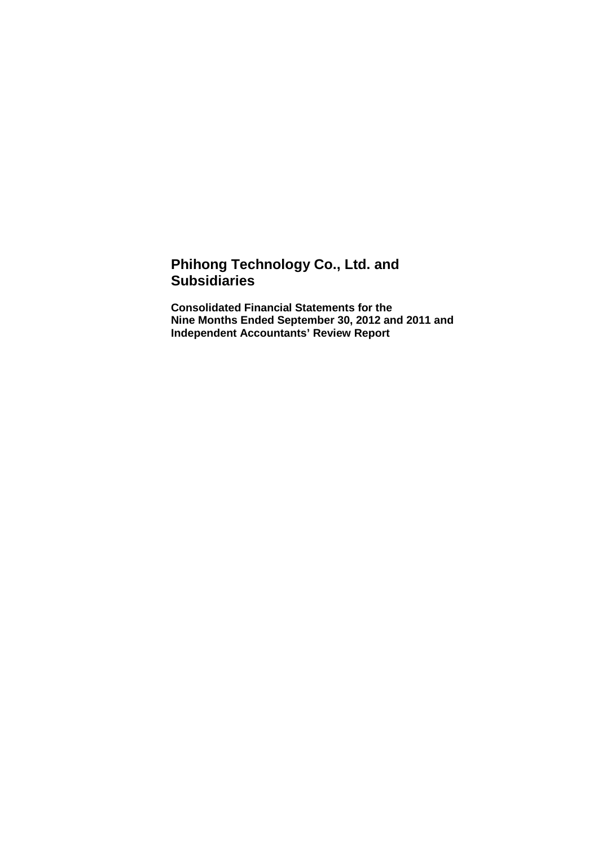# **Phihong Technology Co., Ltd. and Subsidiaries**

**Consolidated Financial Statements for the Nine Months Ended September 30, 2012 and 2011 and Independent Accountants' Review Report**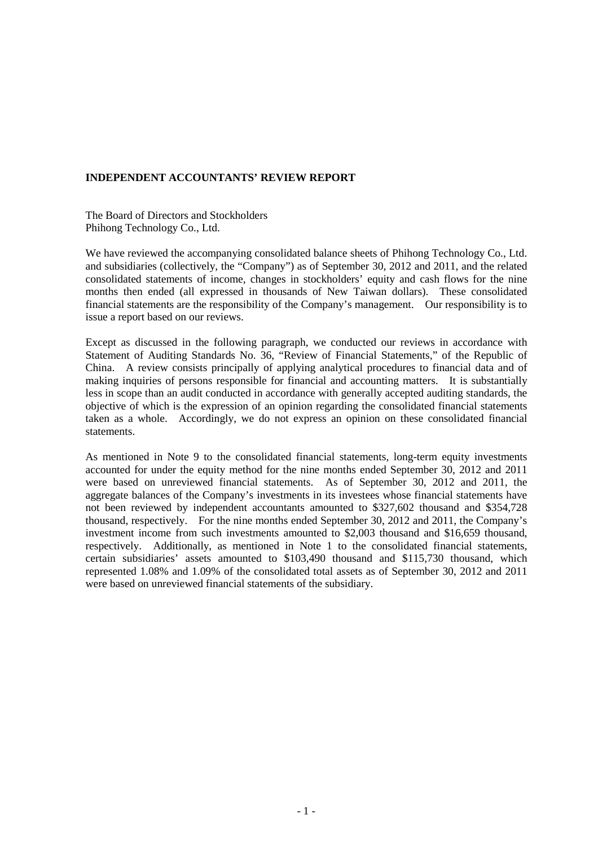#### **INDEPENDENT ACCOUNTANTS' REVIEW REPORT**

The Board of Directors and Stockholders Phihong Technology Co., Ltd.

We have reviewed the accompanying consolidated balance sheets of Phihong Technology Co., Ltd. and subsidiaries (collectively, the "Company") as of September 30, 2012 and 2011, and the related consolidated statements of income, changes in stockholders' equity and cash flows for the nine months then ended (all expressed in thousands of New Taiwan dollars). These consolidated financial statements are the responsibility of the Company's management. Our responsibility is to issue a report based on our reviews.

Except as discussed in the following paragraph, we conducted our reviews in accordance with Statement of Auditing Standards No. 36, "Review of Financial Statements," of the Republic of China. A review consists principally of applying analytical procedures to financial data and of making inquiries of persons responsible for financial and accounting matters. It is substantially less in scope than an audit conducted in accordance with generally accepted auditing standards, the objective of which is the expression of an opinion regarding the consolidated financial statements taken as a whole. Accordingly, we do not express an opinion on these consolidated financial statements.

As mentioned in Note 9 to the consolidated financial statements, long-term equity investments accounted for under the equity method for the nine months ended September 30, 2012 and 2011 were based on unreviewed financial statements. As of September 30, 2012 and 2011, the aggregate balances of the Company's investments in its investees whose financial statements have not been reviewed by independent accountants amounted to \$327,602 thousand and \$354,728 thousand, respectively. For the nine months ended September 30, 2012 and 2011, the Company's investment income from such investments amounted to \$2,003 thousand and \$16,659 thousand, respectively. Additionally, as mentioned in Note 1 to the consolidated financial statements, certain subsidiaries' assets amounted to \$103,490 thousand and \$115,730 thousand, which represented 1.08% and 1.09% of the consolidated total assets as of September 30, 2012 and 2011 were based on unreviewed financial statements of the subsidiary.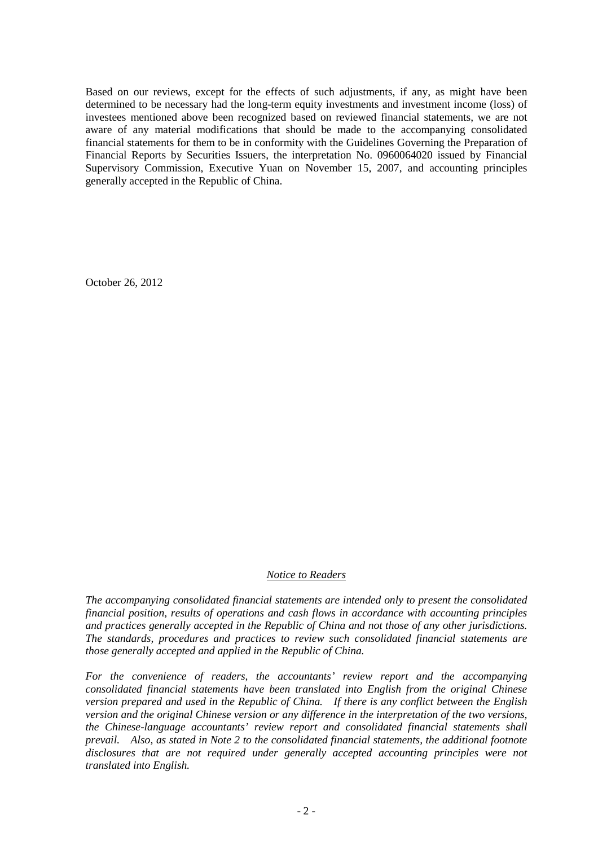Based on our reviews, except for the effects of such adjustments, if any, as might have been determined to be necessary had the long-term equity investments and investment income (loss) of investees mentioned above been recognized based on reviewed financial statements, we are not aware of any material modifications that should be made to the accompanying consolidated financial statements for them to be in conformity with the Guidelines Governing the Preparation of Financial Reports by Securities Issuers, the interpretation No. 0960064020 issued by Financial Supervisory Commission, Executive Yuan on November 15, 2007, and accounting principles generally accepted in the Republic of China.

October 26, 2012

#### *Notice to Readers*

*The accompanying consolidated financial statements are intended only to present the consolidated financial position, results of operations and cash flows in accordance with accounting principles and practices generally accepted in the Republic of China and not those of any other jurisdictions. The standards, procedures and practices to review such consolidated financial statements are those generally accepted and applied in the Republic of China.* 

*For the convenience of readers, the accountants' review report and the accompanying consolidated financial statements have been translated into English from the original Chinese version prepared and used in the Republic of China. If there is any conflict between the English version and the original Chinese version or any difference in the interpretation of the two versions, the Chinese-language accountants' review report and consolidated financial statements shall prevail. Also, as stated in Note 2 to the consolidated financial statements, the additional footnote disclosures that are not required under generally accepted accounting principles were not translated into English.*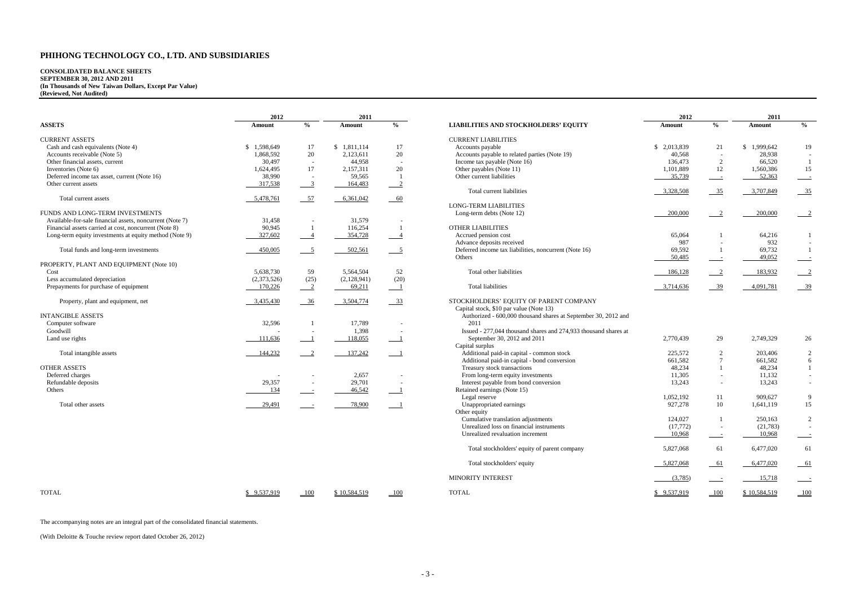| 2012            |                | 2011            |               |  |  |  |
|-----------------|----------------|-----------------|---------------|--|--|--|
| <b>Amount</b>   | $\frac{0}{0}$  | <b>Amount</b>   | $\frac{0}{0}$ |  |  |  |
|                 |                |                 |               |  |  |  |
| \$<br>2,013,839 | 21             | \$<br>1,999,642 | 19            |  |  |  |
| 40,568          |                | 28,938          |               |  |  |  |
| 136,473         | 2              | 66,520          | 1             |  |  |  |
| 1,101,889       | 12             | 1,560,386       | 15            |  |  |  |
| 35,739          |                | 52,363          |               |  |  |  |
|                 |                |                 |               |  |  |  |
| 3,328,508       | 35             | 3,707,849       | 35            |  |  |  |
|                 |                |                 |               |  |  |  |
| 200,000         | $\overline{c}$ | 200,000         | 2             |  |  |  |
|                 |                |                 |               |  |  |  |
|                 |                |                 |               |  |  |  |
| 65,064          | 1              | 64,216          | 1             |  |  |  |
| 987             |                | 932             |               |  |  |  |
| 69,592          | 1              | 69,732          | 1             |  |  |  |
| 50,485          |                | 49,052          |               |  |  |  |
|                 |                |                 |               |  |  |  |
| <u>186,128</u>  | 2              | 183,932         | 2             |  |  |  |
|                 |                |                 |               |  |  |  |
| 3,714,636       | 39             | 4,091,781       | 39            |  |  |  |
|                 |                |                 |               |  |  |  |

| 2,770,439       | 29  | 2,749,329  | 26           |
|-----------------|-----|------------|--------------|
| 225,572         | 2   | 203,406    | 2            |
| 661,582         | 7   | 661,582    | 6            |
| 48,234          | 1   | 48,234     | $\mathbf{1}$ |
| 11,305          |     | 11,132     |              |
| 13,243          |     | 13,243     |              |
| 1,052,192       | 11  | 909,627    | 9            |
| 927,278         | 10  | 1,641,119  | 15           |
| 124,027         | 1   | 250,163    | 2            |
| (17,772)        |     | (21, 783)  |              |
| 10,968          |     | 10,968     |              |
| 5,827,068       | 61  | 6,477,020  | 61           |
| 5,827,068       | 61  | 6,477,020  | 61           |
| (3,785)         |     | 15,718     |              |
| \$<br>9,537,919 | 100 | 10,584,519 | 100          |

## **CONSOLIDATED BALANCE SHEETS SEPTEMBER 30, 2012 AND 2011 (In Thousands of New Taiwan Dollars, Except Par Value) (Reviewed, Not Audited)**

|                                                          | 2012        |                           | 2011         |               |                                                                 | 2012         |                          | 2011         |                 |
|----------------------------------------------------------|-------------|---------------------------|--------------|---------------|-----------------------------------------------------------------|--------------|--------------------------|--------------|-----------------|
| <b>ASSETS</b>                                            | Amount      | $\frac{0}{0}$             | Amount       | $\frac{0}{0}$ | <b>LIABILITIES AND STOCKHOLDERS' EQUITY</b>                     | Amount       | $\frac{6}{6}$            | Amount       | $\frac{0}{0}$   |
| <b>CURRENT ASSETS</b>                                    |             |                           |              |               | <b>CURRENT LIABILITIES</b>                                      |              |                          |              |                 |
| Cash and cash equivalents (Note 4)                       | \$1,598,649 | 17                        | \$1,811,114  | 17            | Accounts payable                                                | \$ 2,013,839 | 21                       | \$1,999,642  | 19              |
| Accounts receivable (Note 5)                             | 1,868,592   | 20                        | 2,123,611    | 20            | Accounts payable to related parties (Note 19)                   | 40,568       | $\sim$                   | 28,938       |                 |
| Other financial assets, current                          | 30,497      | $\overline{a}$            | 44,958       | $\sim$        | Income tax payable (Note 16)                                    | 136,473      | 2                        | 66,520       |                 |
| Inventories (Note 6)                                     | 1,624,495   | 17                        | 2,157,311    | 20            | Other payables (Note 11)                                        | 1,101,889    | 12                       | 1,560,386    | 15              |
| Deferred income tax asset, current (Note 16)             | 38,990      | $\sim$                    | 59,565       |               | Other current liabilities                                       | 35,739       | $\sim$                   | 52,363       |                 |
| Other current assets                                     | 317,538     | $\overline{\phantom{0}3}$ | 164,483      | $\sqrt{2}$    |                                                                 |              |                          |              |                 |
| Total current assets                                     | 5,478,761   | $-57$                     | 6,361,042    | $-60$         | Total current liabilities                                       | 3,328,508    | $-35$                    | 3,707,849    | <u>35</u>       |
|                                                          |             |                           |              |               | <b>LONG-TERM LIABILITIES</b>                                    |              |                          |              |                 |
| FUNDS AND LONG-TERM INVESTMENTS                          |             |                           |              |               | Long-term debts (Note 12)                                       | 200,000      | $\sqrt{2}$               | 200,000      |                 |
| Available-for-sale financial assets, noncurrent (Note 7) | 31,458      | $\overline{\phantom{a}}$  | 31,579       |               |                                                                 |              |                          |              |                 |
| Financial assets carried at cost, noncurrent (Note 8)    | 90,945      |                           | 116,254      |               | OTHER LIABILITIES                                               |              |                          |              |                 |
| Long-term equity investments at equity method (Note 9)   | 327,602     |                           | 354,728      |               | Accrued pension cost                                            | 65,064       |                          | 64,216       |                 |
|                                                          |             |                           |              |               | Advance deposits received                                       | 987          | $\overline{\phantom{a}}$ | 932          |                 |
| Total funds and long-term investments                    | 450,005     | $\overline{\phantom{0}5}$ | 502,561      | $-5$          | Deferred income tax liabilities, noncurrent (Note 16)           | 69,592       |                          | 69,732       |                 |
|                                                          |             |                           |              |               | Others                                                          | 50,485       | $\equiv$                 | 49,052       |                 |
| PROPERTY, PLANT AND EQUIPMENT (Note 10)                  |             |                           |              |               |                                                                 |              |                          |              |                 |
| Cost                                                     | 5,638,730   | 59                        | 5,564,504    | 52            | Total other liabilities                                         | 186,128      | $\sqrt{2}$               | 183,932      |                 |
| Less accumulated depreciation                            | (2,373,526) | (25)                      | (2,128,941)  | (20)          |                                                                 |              |                          |              |                 |
| Prepayments for purchase of equipment                    | 170,226     | $\overline{\phantom{0}2}$ | 69,211       |               | Total liabilities                                               | 3,714,636    | $-39$                    | 4,091,781    | $-39$           |
| Property, plant and equipment, net                       | 3,435,430   | $\frac{36}{2}$            | 3,504,774    | $-33$         | STOCKHOLDERS' EQUITY OF PARENT COMPANY                          |              |                          |              |                 |
|                                                          |             |                           |              |               | Capital stock, \$10 par value (Note 13)                         |              |                          |              |                 |
| <b>INTANGIBLE ASSETS</b>                                 |             |                           |              |               | Authorized - 600,000 thousand shares at September 30, 2012 and  |              |                          |              |                 |
| Computer software                                        | 32,596      |                           | 17,789       |               | 2011                                                            |              |                          |              |                 |
| Goodwill                                                 |             | $\overline{\phantom{a}}$  | 1,398        |               | Issued - 277,044 thousand shares and 274,933 thousand shares at |              |                          |              |                 |
| Land use rights                                          | 111,636     |                           | 118,055      |               | September 30, 2012 and 2011                                     | 2,770,439    | 29                       | 2,749,329    | 26              |
|                                                          |             |                           |              |               | Capital surplus                                                 |              |                          |              |                 |
| Total intangible assets                                  | 144,232     | $\overline{2}$            | 137,242      |               | Additional paid-in capital - common stock                       | 225,572      | 2                        | 203,406      |                 |
|                                                          |             |                           |              |               | Additional paid-in capital - bond conversion                    | 661,582      | $\overline{7}$           | 661,582      |                 |
| <b>OTHER ASSETS</b>                                      |             |                           |              |               | Treasury stock transactions                                     | 48,234       |                          | 48,234       |                 |
| Deferred charges                                         |             |                           | 2,657        |               | From long-term equity investments                               | 11,305       | $\sim$                   | 11,132       |                 |
| Refundable deposits                                      | 29,357      | $\overline{\phantom{a}}$  | 29,701       |               | Interest payable from bond conversion                           | 13,243       | $\overline{\phantom{a}}$ | 13,243       |                 |
| Others                                                   | 134         |                           | 46,542       |               | Retained earnings (Note 15)                                     |              |                          |              |                 |
|                                                          |             |                           |              |               | Legal reserve                                                   | 1,052,192    | 11                       | 909,627      |                 |
| Total other assets                                       | 29,491      |                           | 78,900       |               | Unappropriated earnings<br>Other equity                         | 927,278      | 10                       | 1,641,119    | 15              |
|                                                          |             |                           |              |               | Cumulative translation adjustments                              | 124,027      |                          | 250,163      |                 |
|                                                          |             |                           |              |               | Unrealized loss on financial instruments                        | (17,772)     | $\sim$                   | (21,783)     |                 |
|                                                          |             |                           |              |               | Unrealized revaluation increment                                | 10,968       |                          | 10,968       |                 |
|                                                          |             |                           |              |               | Total stockholders' equity of parent company                    | 5,827,068    | 61                       | 6,477,020    | 61              |
|                                                          |             |                           |              |               | Total stockholders' equity                                      | 5,827,068    | $-61$                    | 6,477,020    | $-61$           |
|                                                          |             |                           |              |               | MINORITY INTEREST                                               |              |                          | 15,718       |                 |
|                                                          |             |                           |              |               |                                                                 | (3,785)      | $\equiv$                 |              |                 |
| <b>TOTAL</b>                                             | \$9,537,919 | 100                       | \$10,584,519 | 100           | <b>TOTAL</b>                                                    | \$9,537,919  | 100                      | \$10,584,519 | 10 <sub>C</sub> |

The accompanying notes are an integral part of the consolidated financial statements.

(With Deloitte & Touche review report dated October 26, 2012)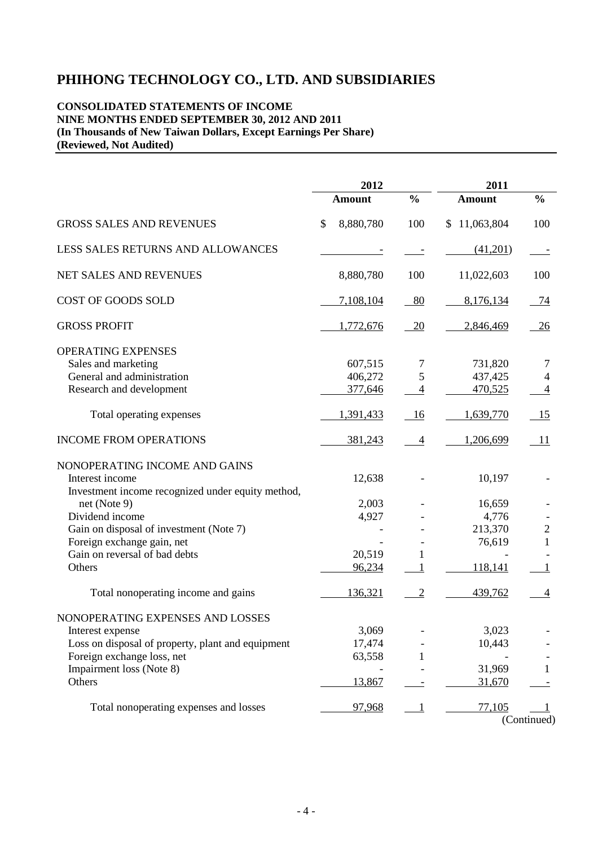#### **CONSOLIDATED STATEMENTS OF INCOME NINE MONTHS ENDED SEPTEMBER 30, 2012 AND 2011 (In Thousands of New Taiwan Dollars, Except Earnings Per Share) (Reviewed, Not Audited)**

|                                                   | 2012            |                | 2011          |                |  |
|---------------------------------------------------|-----------------|----------------|---------------|----------------|--|
|                                                   | <b>Amount</b>   | $\frac{0}{0}$  | <b>Amount</b> | $\frac{0}{0}$  |  |
| <b>GROSS SALES AND REVENUES</b>                   | \$<br>8,880,780 | 100            | \$11,063,804  | 100            |  |
| LESS SALES RETURNS AND ALLOWANCES                 |                 |                | (41,201)      |                |  |
| NET SALES AND REVENUES                            | 8,880,780       | 100            | 11,022,603    | 100            |  |
| COST OF GOODS SOLD                                | 7,108,104       | 80             | 8,176,134     | - 74           |  |
| <b>GROSS PROFIT</b>                               | 1,772,676       | 20             | 2,846,469     | 26             |  |
| OPERATING EXPENSES                                |                 |                |               |                |  |
| Sales and marketing                               | 607,515         | $\overline{7}$ | 731,820       | 7              |  |
| General and administration                        | 406,272         | 5              | 437,425       | $\overline{4}$ |  |
| Research and development                          | 377,646         | $\overline{4}$ | 470,525       | $\overline{4}$ |  |
|                                                   |                 |                |               |                |  |
| Total operating expenses                          | 1,391,433       | 16             | 1,639,770     | 15             |  |
| <b>INCOME FROM OPERATIONS</b>                     | 381,243         | $\overline{4}$ | 1,206,699     | 11             |  |
| NONOPERATING INCOME AND GAINS                     |                 |                |               |                |  |
| Interest income                                   | 12,638          |                | 10,197        |                |  |
| Investment income recognized under equity method, |                 |                |               |                |  |
| net (Note 9)                                      | 2,003           |                | 16,659        |                |  |
| Dividend income                                   | 4,927           |                | 4,776         |                |  |
| Gain on disposal of investment (Note 7)           |                 |                | 213,370       | $\overline{c}$ |  |
| Foreign exchange gain, net                        |                 |                | 76,619        | 1              |  |
| Gain on reversal of bad debts                     | 20,519          | 1              |               |                |  |
| Others                                            | 96,234          | 1              | 118,141       |                |  |
|                                                   |                 |                |               |                |  |
| Total nonoperating income and gains               | 136,321         | $\overline{2}$ | 439,762       | 4              |  |
| NONOPERATING EXPENSES AND LOSSES                  |                 |                |               |                |  |
| Interest expense                                  | 3,069           |                | 3,023         |                |  |
| Loss on disposal of property, plant and equipment | 17,474          |                | 10,443        |                |  |
| Foreign exchange loss, net                        | 63,558          |                |               |                |  |
| Impairment loss (Note 8)                          |                 |                | 31,969        | 1              |  |
| Others                                            | 13,867          |                | 31,670        |                |  |
|                                                   |                 |                |               |                |  |
| Total nonoperating expenses and losses            | 97,968          | 1              | 77,105        |                |  |
|                                                   |                 |                |               | (Continued)    |  |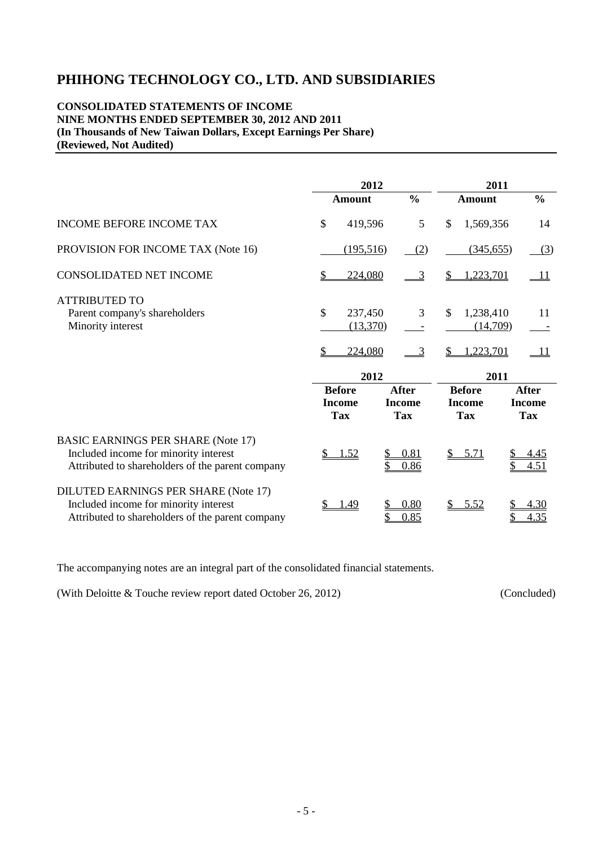#### **CONSOLIDATED STATEMENTS OF INCOME NINE MONTHS ENDED SEPTEMBER 30, 2012 AND 2011 (In Thousands of New Taiwan Dollars, Except Earnings Per Share) (Reviewed, Not Audited)**

|                                                                                                                                        | 2012                                         |                                             |                                                    | 2011                                        |
|----------------------------------------------------------------------------------------------------------------------------------------|----------------------------------------------|---------------------------------------------|----------------------------------------------------|---------------------------------------------|
|                                                                                                                                        | Amount                                       | $\frac{0}{0}$                               | <b>Amount</b>                                      | $\frac{0}{0}$                               |
| <b>INCOME BEFORE INCOME TAX</b>                                                                                                        | \$<br>419,596                                | 5                                           | \$<br>1,569,356                                    | 14                                          |
| PROVISION FOR INCOME TAX (Note 16)                                                                                                     | (195,516)                                    | (2)                                         | (345, 655)                                         | (3)                                         |
| <b>CONSOLIDATED NET INCOME</b>                                                                                                         | 224,080                                      | 3                                           | 1,223,701<br>\$                                    | $\_11$                                      |
| <b>ATTRIBUTED TO</b><br>Parent company's shareholders<br>Minority interest                                                             | \$<br>237,450<br>(13,370)<br>224,080         | 3<br>3                                      | $\mathcal{S}$<br>1,238,410<br>(14,709)<br>.223,701 | 11<br>$\perp$                               |
|                                                                                                                                        | 2012                                         |                                             |                                                    | 2011                                        |
|                                                                                                                                        | <b>Before</b><br><b>Income</b><br><b>Tax</b> | <b>After</b><br><b>Income</b><br><b>Tax</b> | <b>Before</b><br><b>Income</b><br><b>Tax</b>       | <b>After</b><br><b>Income</b><br><b>Tax</b> |
| <b>BASIC EARNINGS PER SHARE (Note 17)</b><br>Included income for minority interest<br>Attributed to shareholders of the parent company | \$<br>1.52                                   | 0.81<br>0.86                                | 5.71<br>S                                          | 4.45<br>\$<br>4.51                          |
| DILUTED EARNINGS PER SHARE (Note 17)<br>Included income for minority interest<br>Attributed to shareholders of the parent company      | 1.49                                         | 0.80<br>0.85                                | 5.52                                               | 4.30<br>4.35                                |

The accompanying notes are an integral part of the consolidated financial statements.

(With Deloitte & Touche review report dated October 26, 2012) (Concluded)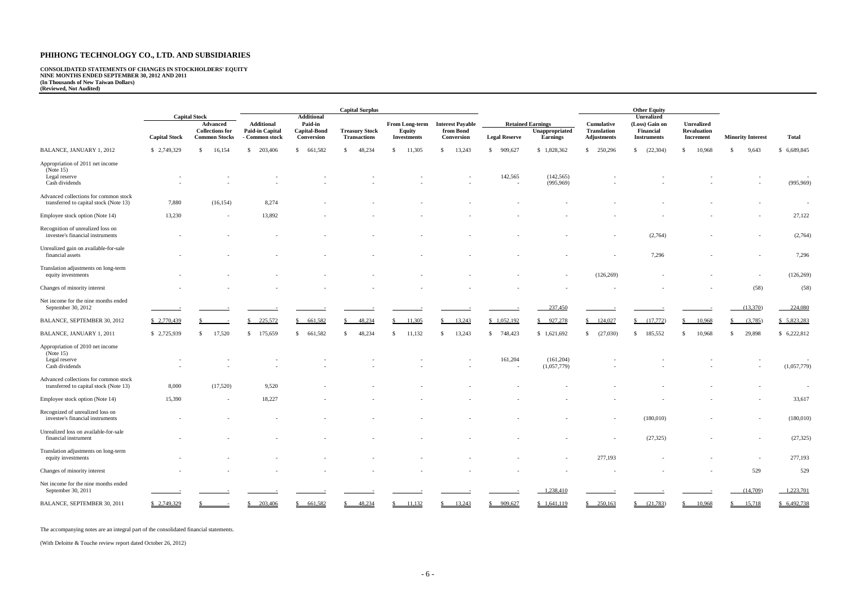**CONSOLIDATED STATEMENTS OF CHANGES IN STOCKHOLDERS' EQUITY NINE MONTHS ENDED SEPTEMBER 30, 2012 AND 2011 (In Thousands of New Taiwan Dollars) (Reviewed, Not Audited)** 

|                                                                                 |                      |                                                            |                                                               |                                              | <b>Capital Surplus</b>                       |                                                |                                                    |                      |                                                               |                                                               | <b>Other Equity</b>                               |                                                             |                                            |                      |
|---------------------------------------------------------------------------------|----------------------|------------------------------------------------------------|---------------------------------------------------------------|----------------------------------------------|----------------------------------------------|------------------------------------------------|----------------------------------------------------|----------------------|---------------------------------------------------------------|---------------------------------------------------------------|---------------------------------------------------|-------------------------------------------------------------|--------------------------------------------|----------------------|
|                                                                                 |                      | <b>Capital Stock</b>                                       |                                                               | <b>Additional</b>                            |                                              |                                                |                                                    |                      |                                                               |                                                               | <b>Unrealized</b>                                 |                                                             |                                            |                      |
|                                                                                 | <b>Capital Stock</b> | Advanced<br><b>Collections for</b><br><b>Common Stocks</b> | <b>Additional</b><br><b>Paid-in Capital</b><br>- Common stock | Paid-in<br><b>Capital-Bond</b><br>Conversion | <b>Treasury Stock</b><br><b>Transactions</b> | From Long-term<br>Equity<br><b>Investments</b> | <b>Interest Payable</b><br>from Bond<br>Conversion | <b>Legal Reserve</b> | <b>Retained Earnings</b><br>Unappropriated<br><b>Earnings</b> | <b>Cumulative</b><br><b>Translation</b><br><b>Adjustments</b> | (Loss) Gain on<br>Financial<br><b>Instruments</b> | <b>Unrealized</b><br><b>Revaluation</b><br><b>Increment</b> | <b>Minority Interest</b>                   | Total                |
| <b>BALANCE, JANUARY 1, 2012</b>                                                 | \$ 2,749,329         | 16,154<br>-S                                               | 203,406<br>\$                                                 | \$661,582                                    | 48,234<br>-S                                 | 11,305<br>-S                                   | 13,243<br>$\mathbb{S}$                             | 909,627<br>\$        | \$1,828,362                                                   | \$ 250,296                                                    | (22, 304)<br>\$                                   | 10,968<br>S.                                                | 9,643<br>-S                                | \$ 6,689,845         |
| Appropriation of 2011 net income<br>(Note $15$ )                                |                      |                                                            |                                                               |                                              |                                              |                                                |                                                    |                      |                                                               |                                                               |                                                   |                                                             |                                            |                      |
| Legal reserve<br>Cash dividends                                                 |                      |                                                            |                                                               |                                              |                                              |                                                |                                                    | 142,565              | (142, 565)<br>(995, 969)                                      |                                                               |                                                   |                                                             |                                            | $\sim$<br>(995, 969) |
| Advanced collections for common stock<br>transferred to capital stock (Note 13) | 7,880                | (16, 154)                                                  | 8,274                                                         |                                              |                                              |                                                |                                                    |                      |                                                               |                                                               |                                                   |                                                             |                                            | $\sim$               |
| Employee stock option (Note 14)                                                 | 13,230               | $\overline{\phantom{a}}$                                   | 13,892                                                        |                                              |                                              |                                                |                                                    |                      |                                                               |                                                               |                                                   |                                                             |                                            | 27,122               |
| Recognition of unrealized loss on<br>investee's financial instruments           |                      |                                                            |                                                               |                                              |                                              |                                                |                                                    |                      |                                                               |                                                               | (2,764)                                           |                                                             |                                            | (2,764)              |
| Unrealized gain on available-for-sale<br>financial assets                       |                      |                                                            |                                                               |                                              |                                              |                                                |                                                    |                      |                                                               |                                                               | 7,296                                             |                                                             |                                            | 7,296                |
| Translation adjustments on long-term<br>equity investments                      |                      |                                                            |                                                               |                                              |                                              |                                                |                                                    |                      |                                                               | (126, 269)                                                    |                                                   |                                                             |                                            | (126, 269)           |
| Changes of minority interest                                                    |                      |                                                            |                                                               |                                              |                                              |                                                |                                                    |                      |                                                               |                                                               |                                                   |                                                             | (58)                                       | (58)                 |
| Net income for the nine months ended<br>September 30, 2012                      |                      |                                                            |                                                               |                                              |                                              |                                                |                                                    |                      | 237,450                                                       |                                                               |                                                   |                                                             | (13,370)                                   | 224,080              |
| BALANCE, SEPTEMBER 30, 2012                                                     | \$ 2,770,439         |                                                            | 225,572                                                       | \$661,582                                    | 48,234                                       | 11,305                                         | 13,243<br>$\mathbb{S}$                             | \$1,052,192          | \$927,278                                                     | $\frac{$124,027}{}$                                           | (17,772)<br>S.                                    | 10,968<br>$\mathbb{S}^-$                                    | (3,785)<br>$\frac{\mathsf{S}}{\mathsf{S}}$ | \$5,823,283          |
| BALANCE, JANUARY 1, 2011                                                        | \$2,725,939          | 17,520<br>\$                                               | 175,659<br>\$                                                 | \$661,582                                    | 48,234<br><sup>\$</sup>                      | 11,132<br>-S                                   | 13,243<br>$\mathbb{S}$                             | \$748,423            | \$1,621,692                                                   | (27,030)<br>$\mathbb{S}$                                      | 185,552<br>\$                                     | 10,968<br>\$                                                | 29,898<br>\$                               | \$6,222,812          |
| Appropriation of 2010 net income<br>(Note 15)<br>Legal reserve                  |                      |                                                            |                                                               |                                              |                                              |                                                |                                                    | 161,204              | (161,204)                                                     |                                                               |                                                   |                                                             |                                            | $\sim$               |
| Cash dividends                                                                  |                      |                                                            |                                                               |                                              |                                              |                                                |                                                    |                      | (1,057,779)                                                   |                                                               |                                                   |                                                             |                                            | (1,057,779)          |
| Advanced collections for common stock<br>transferred to capital stock (Note 13) | 8,000                | (17,520)                                                   | 9,520                                                         |                                              |                                              |                                                |                                                    |                      |                                                               |                                                               |                                                   |                                                             |                                            | $\sim$               |
| Employee stock option (Note 14)                                                 | 15,390               |                                                            | 18,227                                                        |                                              |                                              |                                                |                                                    |                      |                                                               |                                                               |                                                   |                                                             |                                            | 33,617               |
| Recognized of unrealized loss on<br>investee's financial instruments            |                      |                                                            |                                                               |                                              |                                              |                                                |                                                    |                      |                                                               |                                                               | (180,010)                                         |                                                             |                                            | (180,010)            |
| Unrealized loss on available-for-sale<br>financial instrument                   |                      |                                                            |                                                               |                                              |                                              |                                                |                                                    |                      |                                                               |                                                               | (27, 325)                                         |                                                             |                                            | (27, 325)            |
| Translation adjustments on long-term<br>equity investments                      |                      |                                                            |                                                               |                                              |                                              |                                                |                                                    |                      |                                                               | 277,193                                                       |                                                   |                                                             | $\overline{\phantom{a}}$                   | 277,193              |
| Changes of minority interest                                                    |                      |                                                            |                                                               |                                              |                                              |                                                |                                                    |                      |                                                               |                                                               |                                                   |                                                             | 529                                        | 529                  |
| Net income for the nine months ended<br>September 30, 2011                      |                      |                                                            |                                                               |                                              |                                              |                                                |                                                    |                      | $-1,238,410$                                                  |                                                               |                                                   |                                                             | (14,709)                                   | 1,223,701            |
| BALANCE, SEPTEMBER 30, 2011                                                     | \$ 2,749,329         |                                                            | 203,406<br>$\mathbb{Z}$                                       | \$661,582                                    | 48,234                                       | 11,132                                         | 13,243                                             | \$909,627            | \$1,641,119                                                   | $\frac{$250,163}{}$                                           | (21,783)                                          | 10,968                                                      | 15,718<br>$\frac{\S}{}$                    | \$ 6,492,738         |

The accompanying notes are an integral part of the consolidated financial statements.

(With Deloitte & Touche review report dated October 26, 2012)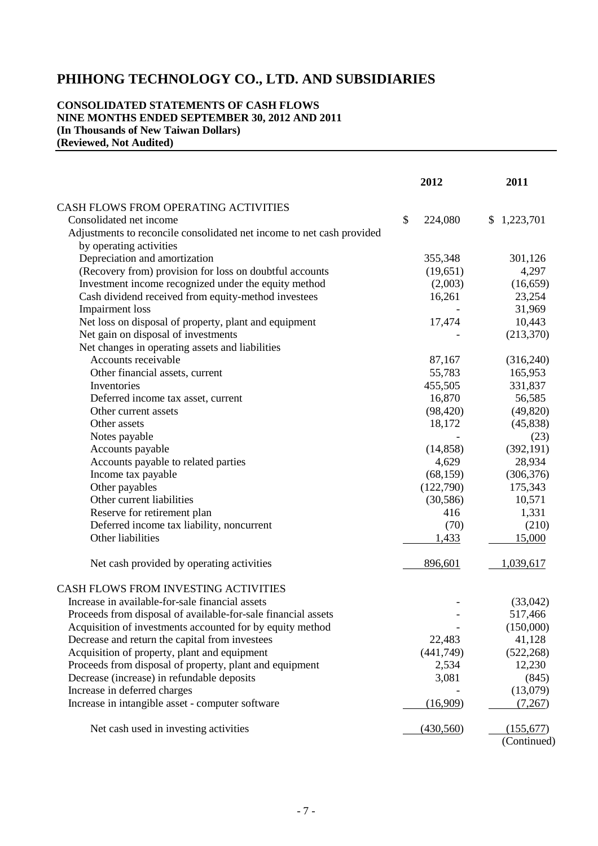#### **CONSOLIDATED STATEMENTS OF CASH FLOWS NINE MONTHS ENDED SEPTEMBER 30, 2012 AND 2011 (In Thousands of New Taiwan Dollars) (Reviewed, Not Audited)**

|                                                                       | 2012          | 2011        |  |
|-----------------------------------------------------------------------|---------------|-------------|--|
| CASH FLOWS FROM OPERATING ACTIVITIES                                  |               |             |  |
| Consolidated net income                                               | \$<br>224,080 | \$1,223,701 |  |
| Adjustments to reconcile consolidated net income to net cash provided |               |             |  |
| by operating activities                                               |               |             |  |
| Depreciation and amortization                                         | 355,348       | 301,126     |  |
| (Recovery from) provision for loss on doubtful accounts               | (19,651)      | 4,297       |  |
| Investment income recognized under the equity method                  | (2,003)       | (16, 659)   |  |
| Cash dividend received from equity-method investees                   | 16,261        | 23,254      |  |
| <b>Impairment</b> loss                                                |               | 31,969      |  |
| Net loss on disposal of property, plant and equipment                 | 17,474        | 10,443      |  |
| Net gain on disposal of investments                                   |               | (213,370)   |  |
| Net changes in operating assets and liabilities                       |               |             |  |
| Accounts receivable                                                   | 87,167        | (316,240)   |  |
| Other financial assets, current                                       | 55,783        | 165,953     |  |
| Inventories                                                           | 455,505       | 331,837     |  |
| Deferred income tax asset, current                                    | 16,870        | 56,585      |  |
| Other current assets                                                  | (98, 420)     | (49, 820)   |  |
| Other assets                                                          | 18,172        | (45, 838)   |  |
| Notes payable                                                         |               | (23)        |  |
| Accounts payable                                                      | (14, 858)     | (392, 191)  |  |
| Accounts payable to related parties                                   | 4,629         | 28,934      |  |
| Income tax payable                                                    | (68, 159)     | (306, 376)  |  |
| Other payables                                                        | (122,790)     | 175,343     |  |
| Other current liabilities                                             | (30, 586)     | 10,571      |  |
| Reserve for retirement plan                                           | 416           | 1,331       |  |
| Deferred income tax liability, noncurrent                             | (70)          | (210)       |  |
| Other liabilities                                                     | 1,433         | 15,000      |  |
| Net cash provided by operating activities                             | 896,601       | 1,039,617   |  |
| CASH FLOWS FROM INVESTING ACTIVITIES                                  |               |             |  |
| Increase in available-for-sale financial assets                       |               | (33,042)    |  |
| Proceeds from disposal of available-for-sale financial assets         |               | 517,466     |  |
| Acquisition of investments accounted for by equity method             |               | (150,000)   |  |
| Decrease and return the capital from investees                        | 22,483        | 41,128      |  |
| Acquisition of property, plant and equipment                          | (441,749)     | (522, 268)  |  |
| Proceeds from disposal of property, plant and equipment               | 2,534         | 12,230      |  |
| Decrease (increase) in refundable deposits                            | 3,081         | (845)       |  |
| Increase in deferred charges                                          |               | (13,079)    |  |
| Increase in intangible asset - computer software                      | (16,909)      | (7,267)     |  |
|                                                                       |               |             |  |
| Net cash used in investing activities                                 | (430,560)     | (155,677)   |  |
|                                                                       |               | (Continued) |  |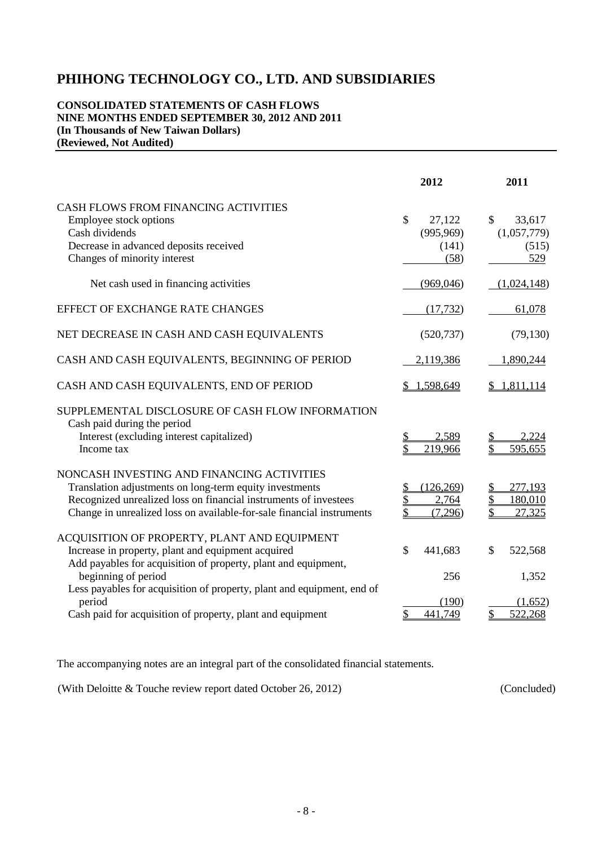#### **CONSOLIDATED STATEMENTS OF CASH FLOWS NINE MONTHS ENDED SEPTEMBER 30, 2012 AND 2011 (In Thousands of New Taiwan Dollars) (Reviewed, Not Audited)**

|                                                                                                                                                                                                                                                                                 | 2012                                                  | 2011                                        |
|---------------------------------------------------------------------------------------------------------------------------------------------------------------------------------------------------------------------------------------------------------------------------------|-------------------------------------------------------|---------------------------------------------|
| CASH FLOWS FROM FINANCING ACTIVITIES<br>Employee stock options<br>Cash dividends<br>Decrease in advanced deposits received<br>Changes of minority interest                                                                                                                      | $\mathcal{S}$<br>27,122<br>(995,969)<br>(141)<br>(58) | \$<br>33,617<br>(1,057,779)<br>(515)<br>529 |
| Net cash used in financing activities                                                                                                                                                                                                                                           | (969, 046)                                            | (1,024,148)                                 |
| EFFECT OF EXCHANGE RATE CHANGES                                                                                                                                                                                                                                                 | (17, 732)                                             | 61,078                                      |
| NET DECREASE IN CASH AND CASH EQUIVALENTS                                                                                                                                                                                                                                       | (520, 737)                                            | (79, 130)                                   |
| CASH AND CASH EQUIVALENTS, BEGINNING OF PERIOD                                                                                                                                                                                                                                  | 2,119,386                                             | 1,890,244                                   |
| CASH AND CASH EQUIVALENTS, END OF PERIOD                                                                                                                                                                                                                                        | 1,598,649                                             | \$1,811,114                                 |
| SUPPLEMENTAL DISCLOSURE OF CASH FLOW INFORMATION<br>Cash paid during the period<br>Interest (excluding interest capitalized)<br>Income tax                                                                                                                                      | 2,589<br>\$<br>\$<br>219,966                          | 2,224<br>595,655                            |
| NONCASH INVESTING AND FINANCING ACTIVITIES<br>Translation adjustments on long-term equity investments<br>Recognized unrealized loss on financial instruments of investees<br>Change in unrealized loss on available-for-sale financial instruments                              | (126, 269)<br>2,764<br>(7,296)                        | 277,193<br>180,010<br>27,325                |
| ACQUISITION OF PROPERTY, PLANT AND EQUIPMENT<br>Increase in property, plant and equipment acquired<br>Add payables for acquisition of property, plant and equipment,<br>beginning of period<br>Less payables for acquisition of property, plant and equipment, end of<br>period | \$<br>441,683<br>256<br>(190)                         | \$<br>522,568<br>1,352<br>(1,652)           |
| Cash paid for acquisition of property, plant and equipment                                                                                                                                                                                                                      | \$<br>441,749                                         | \$<br>522,268                               |

The accompanying notes are an integral part of the consolidated financial statements.

(With Deloitte & Touche review report dated October 26, 2012) (Concluded)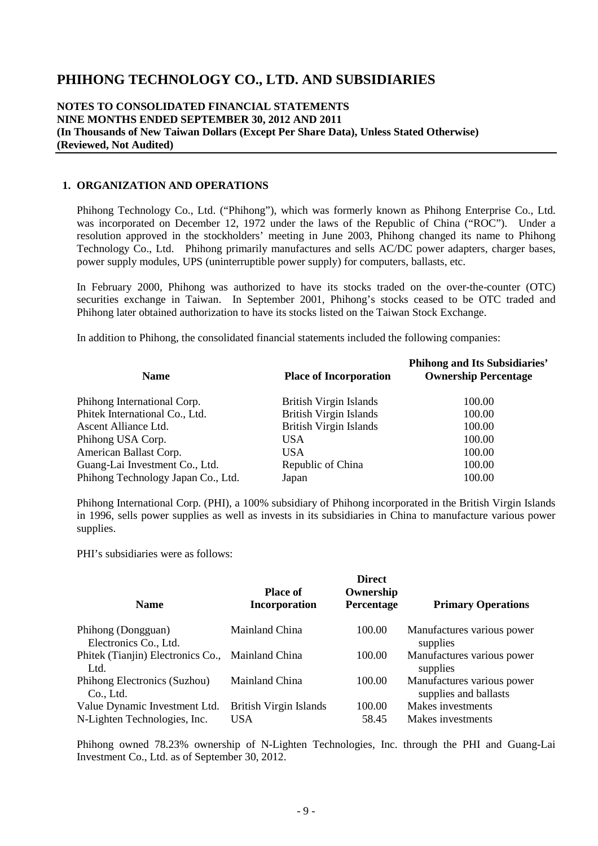#### **NOTES TO CONSOLIDATED FINANCIAL STATEMENTS NINE MONTHS ENDED SEPTEMBER 30, 2012 AND 2011 (In Thousands of New Taiwan Dollars (Except Per Share Data), Unless Stated Otherwise) (Reviewed, Not Audited)**

#### **1. ORGANIZATION AND OPERATIONS**

Phihong Technology Co., Ltd. ("Phihong"), which was formerly known as Phihong Enterprise Co., Ltd. was incorporated on December 12, 1972 under the laws of the Republic of China ("ROC"). Under a resolution approved in the stockholders' meeting in June 2003, Phihong changed its name to Phihong Technology Co., Ltd. Phihong primarily manufactures and sells AC/DC power adapters, charger bases, power supply modules, UPS (uninterruptible power supply) for computers, ballasts, etc.

In February 2000, Phihong was authorized to have its stocks traded on the over-the-counter (OTC) securities exchange in Taiwan. In September 2001, Phihong's stocks ceased to be OTC traded and Phihong later obtained authorization to have its stocks listed on the Taiwan Stock Exchange.

In addition to Phihong, the consolidated financial statements included the following companies:

| <b>Name</b>                        | <b>Place of Incorporation</b> | <b>Phihong and Its Subsidiaries'</b><br><b>Ownership Percentage</b> |
|------------------------------------|-------------------------------|---------------------------------------------------------------------|
| Phihong International Corp.        | <b>British Virgin Islands</b> | 100.00                                                              |
| Phitek International Co., Ltd.     | <b>British Virgin Islands</b> | 100.00                                                              |
| Ascent Alliance Ltd.               | <b>British Virgin Islands</b> | 100.00                                                              |
| Phihong USA Corp.                  | <b>USA</b>                    | 100.00                                                              |
| American Ballast Corp.             | USA                           | 100.00                                                              |
| Guang-Lai Investment Co., Ltd.     | Republic of China             | 100.00                                                              |
| Phihong Technology Japan Co., Ltd. | Japan                         | 100.00                                                              |

Phihong International Corp. (PHI), a 100% subsidiary of Phihong incorporated in the British Virgin Islands in 1996, sells power supplies as well as invests in its subsidiaries in China to manufacture various power supplies.

PHI's subsidiaries were as follows:

| <b>Name</b>                                                   | <b>Place of</b><br><b>Incorporation</b> | <b>Direct</b><br>Ownership<br>Percentage | <b>Primary Operations</b>                           |
|---------------------------------------------------------------|-----------------------------------------|------------------------------------------|-----------------------------------------------------|
| Phihong (Dongguan)<br>Electronics Co., Ltd.                   | Mainland China                          | 100.00                                   | Manufactures various power<br>supplies              |
| Phitek (Tianjin) Electronics Co., Mainland China<br>Ltd.      |                                         | 100.00                                   | Manufactures various power<br>supplies              |
| Phihong Electronics (Suzhou)<br>Co., Ltd.                     | Mainland China                          | 100.00                                   | Manufactures various power<br>supplies and ballasts |
| Value Dynamic Investment Ltd.<br>N-Lighten Technologies, Inc. | <b>British Virgin Islands</b><br>USA.   | 100.00<br>58.45                          | Makes investments<br>Makes investments              |

Phihong owned 78.23% ownership of N-Lighten Technologies, Inc. through the PHI and Guang-Lai Investment Co., Ltd. as of September 30, 2012.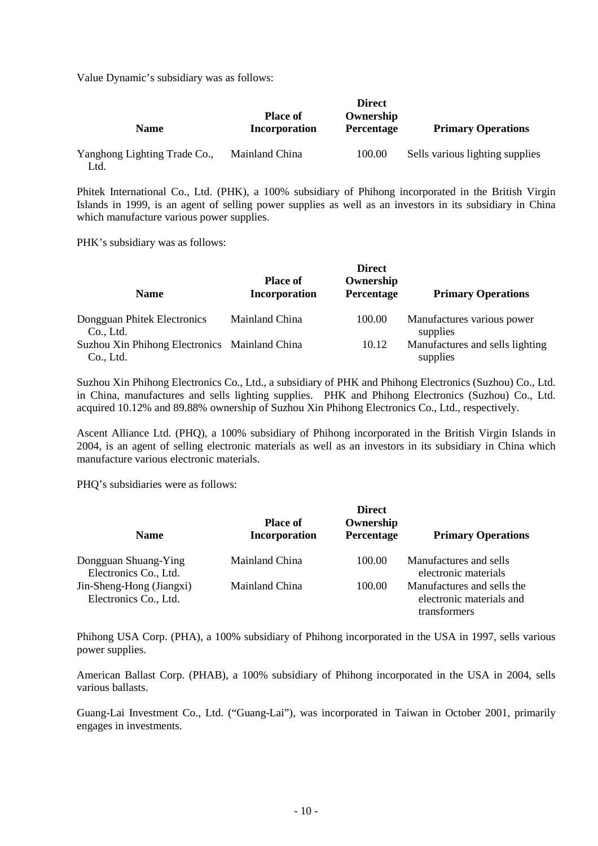Value Dynamic's subsidiary was as follows:

| <b>Name</b>                          | <b>Place of</b><br>Incorporation | <b>Direct</b><br>Ownership<br><b>Percentage</b> | <b>Primary Operations</b>       |
|--------------------------------------|----------------------------------|-------------------------------------------------|---------------------------------|
| Yanghong Lighting Trade Co.,<br>Ltd. | Mainland China                   | 100.00                                          | Sells various lighting supplies |

Phitek International Co., Ltd. (PHK), a 100% subsidiary of Phihong incorporated in the British Virgin Islands in 1999, is an agent of selling power supplies as well as an investors in its subsidiary in China which manufacture various power supplies.

PHK's subsidiary was as follows:

| <b>Name</b>                                                | <b>Place of</b><br>Incorporation | <b>Direct</b><br>Ownership<br>Percentage | <b>Primary Operations</b>                   |
|------------------------------------------------------------|----------------------------------|------------------------------------------|---------------------------------------------|
| Dongguan Phitek Electronics<br>Co., Ltd.                   | Mainland China                   | 100.00                                   | Manufactures various power<br>supplies      |
| Suzhou Xin Phihong Electronics Mainland China<br>Co., Ltd. |                                  | 10.12                                    | Manufactures and sells lighting<br>supplies |

Suzhou Xin Phihong Electronics Co., Ltd., a subsidiary of PHK and Phihong Electronics (Suzhou) Co., Ltd. in China, manufactures and sells lighting supplies. PHK and Phihong Electronics (Suzhou) Co., Ltd. acquired 10.12% and 89.88% ownership of Suzhou Xin Phihong Electronics Co., Ltd., respectively.

Ascent Alliance Ltd. (PHQ), a 100% subsidiary of Phihong incorporated in the British Virgin Islands in 2004, is an agent of selling electronic materials as well as an investors in its subsidiary in China which manufacture various electronic materials.

PHQ's subsidiaries were as follows:

| <b>Name</b>                                       | <b>Place of</b><br>Incorporation | <b>Direct</b><br>Ownership<br>Percentage | <b>Primary Operations</b>                                              |
|---------------------------------------------------|----------------------------------|------------------------------------------|------------------------------------------------------------------------|
| Dongguan Shuang-Ying<br>Electronics Co., Ltd.     | Mainland China                   | 100.00                                   | Manufactures and sells<br>electronic materials                         |
| Jin-Sheng-Hong (Jiangxi)<br>Electronics Co., Ltd. | Mainland China                   | 100.00                                   | Manufactures and sells the<br>electronic materials and<br>transformers |

Phihong USA Corp. (PHA), a 100% subsidiary of Phihong incorporated in the USA in 1997, sells various power supplies.

American Ballast Corp. (PHAB), a 100% subsidiary of Phihong incorporated in the USA in 2004, sells various ballasts.

Guang-Lai Investment Co., Ltd. ("Guang-Lai"), was incorporated in Taiwan in October 2001, primarily engages in investments.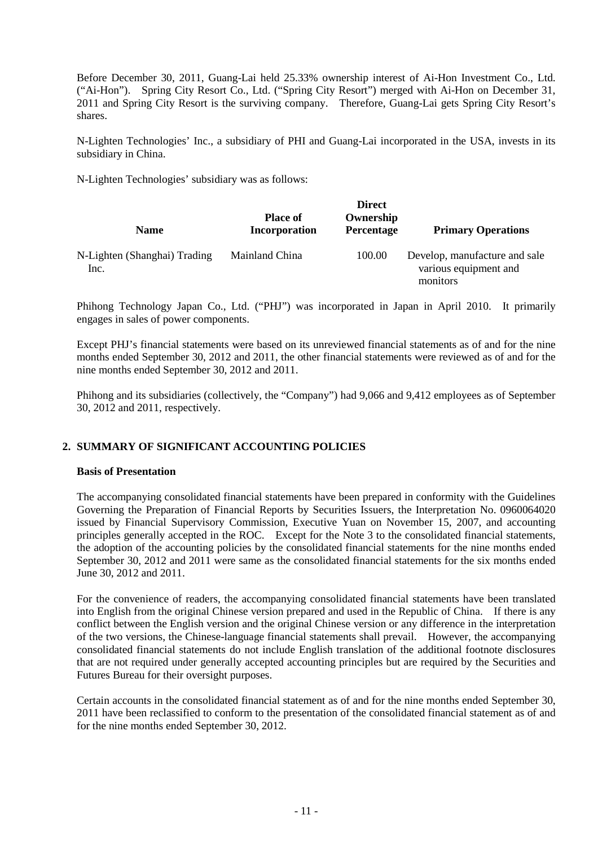Before December 30, 2011, Guang-Lai held 25.33% ownership interest of Ai-Hon Investment Co., Ltd. ("Ai-Hon"). Spring City Resort Co., Ltd. ("Spring City Resort") merged with Ai-Hon on December 31, 2011 and Spring City Resort is the surviving company. Therefore, Guang-Lai gets Spring City Resort's shares.

N-Lighten Technologies' Inc., a subsidiary of PHI and Guang-Lai incorporated in the USA, invests in its subsidiary in China.

N-Lighten Technologies' subsidiary was as follows:

| <b>Name</b>                          | <b>Place of</b><br>Incorporation | <b>Direct</b><br>Ownership<br>Percentage | <b>Primary Operations</b>                                          |
|--------------------------------------|----------------------------------|------------------------------------------|--------------------------------------------------------------------|
| N-Lighten (Shanghai) Trading<br>Inc. | Mainland China                   | 100.00                                   | Develop, manufacture and sale<br>various equipment and<br>monitors |

Phihong Technology Japan Co., Ltd. ("PHJ") was incorporated in Japan in April 2010. It primarily engages in sales of power components.

Except PHJ's financial statements were based on its unreviewed financial statements as of and for the nine months ended September 30, 2012 and 2011, the other financial statements were reviewed as of and for the nine months ended September 30, 2012 and 2011.

Phihong and its subsidiaries (collectively, the "Company") had 9,066 and 9,412 employees as of September 30, 2012 and 2011, respectively.

#### **2. SUMMARY OF SIGNIFICANT ACCOUNTING POLICIES**

#### **Basis of Presentation**

The accompanying consolidated financial statements have been prepared in conformity with the Guidelines Governing the Preparation of Financial Reports by Securities Issuers, the Interpretation No. 0960064020 issued by Financial Supervisory Commission, Executive Yuan on November 15, 2007, and accounting principles generally accepted in the ROC. Except for the Note 3 to the consolidated financial statements, the adoption of the accounting policies by the consolidated financial statements for the nine months ended September 30, 2012 and 2011 were same as the consolidated financial statements for the six months ended June 30, 2012 and 2011.

For the convenience of readers, the accompanying consolidated financial statements have been translated into English from the original Chinese version prepared and used in the Republic of China. If there is any conflict between the English version and the original Chinese version or any difference in the interpretation of the two versions, the Chinese-language financial statements shall prevail. However, the accompanying consolidated financial statements do not include English translation of the additional footnote disclosures that are not required under generally accepted accounting principles but are required by the Securities and Futures Bureau for their oversight purposes.

Certain accounts in the consolidated financial statement as of and for the nine months ended September 30, 2011 have been reclassified to conform to the presentation of the consolidated financial statement as of and for the nine months ended September 30, 2012.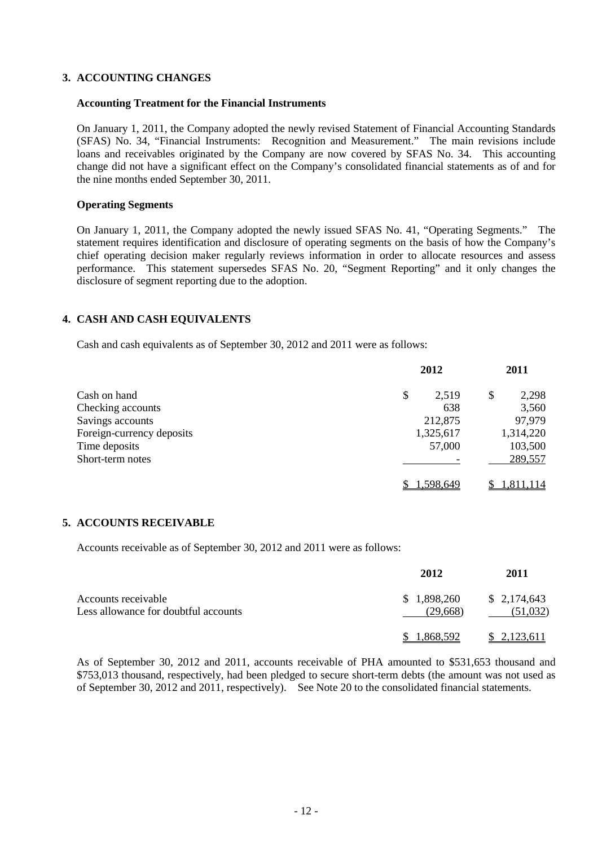#### **3. ACCOUNTING CHANGES**

#### **Accounting Treatment for the Financial Instruments**

On January 1, 2011, the Company adopted the newly revised Statement of Financial Accounting Standards (SFAS) No. 34, "Financial Instruments: Recognition and Measurement." The main revisions include loans and receivables originated by the Company are now covered by SFAS No. 34. This accounting change did not have a significant effect on the Company's consolidated financial statements as of and for the nine months ended September 30, 2011.

#### **Operating Segments**

On January 1, 2011, the Company adopted the newly issued SFAS No. 41, "Operating Segments." The statement requires identification and disclosure of operating segments on the basis of how the Company's chief operating decision maker regularly reviews information in order to allocate resources and assess performance. This statement supersedes SFAS No. 20, "Segment Reporting" and it only changes the disclosure of segment reporting due to the adoption.

#### **4. CASH AND CASH EQUIVALENTS**

Cash and cash equivalents as of September 30, 2012 and 2011 were as follows:

|                           | 2012        | 2011        |
|---------------------------|-------------|-------------|
| Cash on hand              | \$<br>2,519 | 2,298<br>\$ |
| Checking accounts         | 638         | 3,560       |
| Savings accounts          | 212,875     | 97,979      |
| Foreign-currency deposits | 1,325,617   | 1,314,220   |
| Time deposits             | 57,000      | 103,500     |
| Short-term notes          |             | 289,557     |
|                           | 1,598,649   | 1,811,114   |

#### **5. ACCOUNTS RECEIVABLE**

Accounts receivable as of September 30, 2012 and 2011 were as follows:

|                                                             | 2012                    | 2011                    |
|-------------------------------------------------------------|-------------------------|-------------------------|
| Accounts receivable<br>Less allowance for doubtful accounts | \$1,898,260<br>(29,668) | \$2,174,643<br>(51,032) |
|                                                             | \$1,868,592             | \$2,123,611             |

As of September 30, 2012 and 2011, accounts receivable of PHA amounted to \$531,653 thousand and \$753,013 thousand, respectively, had been pledged to secure short-term debts (the amount was not used as of September 30, 2012 and 2011, respectively). See Note 20 to the consolidated financial statements.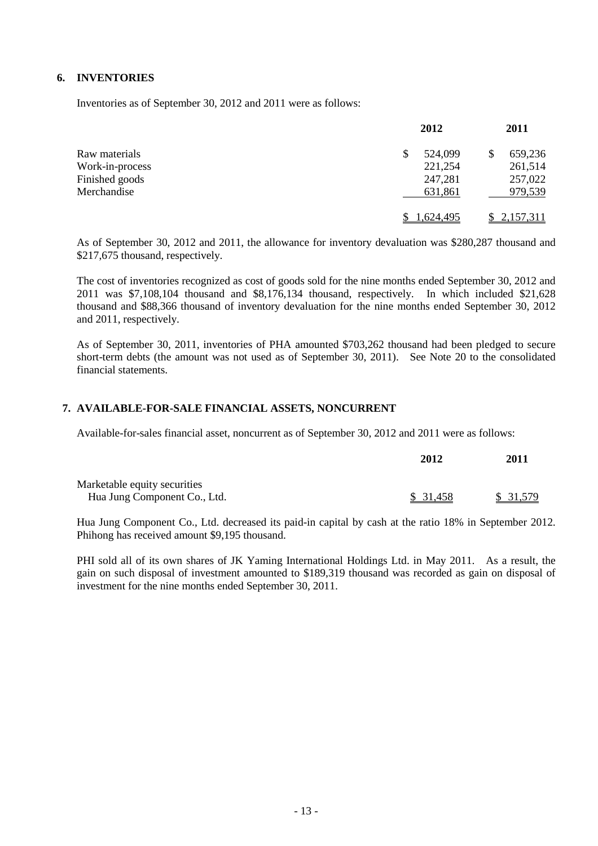#### **6. INVENTORIES**

Inventories as of September 30, 2012 and 2011 were as follows:

|                 | 2012          | 2011      |
|-----------------|---------------|-----------|
| Raw materials   | 524,099<br>\$ | 659,236   |
| Work-in-process | 221,254       | 261,514   |
| Finished goods  | 247,281       | 257,022   |
| Merchandise     | 631,861       | 979,539   |
|                 | .624.495      | 2,157,311 |

As of September 30, 2012 and 2011, the allowance for inventory devaluation was \$280,287 thousand and \$217,675 thousand, respectively.

The cost of inventories recognized as cost of goods sold for the nine months ended September 30, 2012 and 2011 was \$7,108,104 thousand and \$8,176,134 thousand, respectively. In which included \$21,628 thousand and \$88,366 thousand of inventory devaluation for the nine months ended September 30, 2012 and 2011, respectively.

As of September 30, 2011, inventories of PHA amounted \$703,262 thousand had been pledged to secure short-term debts (the amount was not used as of September 30, 2011). See Note 20 to the consolidated financial statements.

#### **7. AVAILABLE-FOR-SALE FINANCIAL ASSETS, NONCURRENT**

Available-for-sales financial asset, noncurrent as of September 30, 2012 and 2011 were as follows:

|                              | 2012      | 2011      |
|------------------------------|-----------|-----------|
| Marketable equity securities |           |           |
| Hua Jung Component Co., Ltd. | \$ 31,458 | \$ 31,579 |

Hua Jung Component Co., Ltd. decreased its paid-in capital by cash at the ratio 18% in September 2012. Phihong has received amount \$9,195 thousand.

PHI sold all of its own shares of JK Yaming International Holdings Ltd. in May 2011. As a result, the gain on such disposal of investment amounted to \$189,319 thousand was recorded as gain on disposal of investment for the nine months ended September 30, 2011.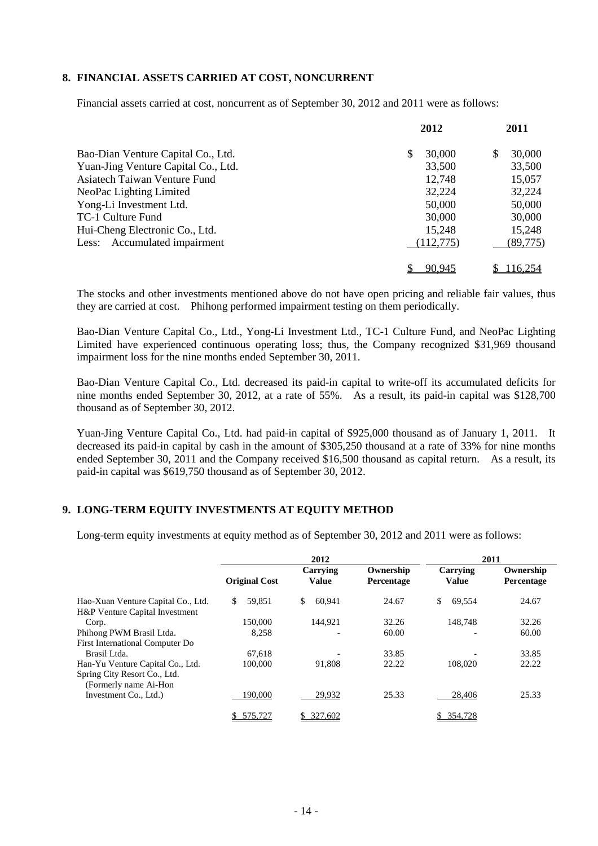#### **8. FINANCIAL ASSETS CARRIED AT COST, NONCURRENT**

Financial assets carried at cost, noncurrent as of September 30, 2012 and 2011 were as follows:

|                                     | 2012        | 2011         |
|-------------------------------------|-------------|--------------|
| Bao-Dian Venture Capital Co., Ltd.  | 30,000<br>S | \$<br>30,000 |
| Yuan-Jing Venture Capital Co., Ltd. | 33,500      | 33,500       |
| Asiatech Taiwan Venture Fund        | 12,748      | 15,057       |
| NeoPac Lighting Limited             | 32,224      | 32,224       |
| Yong-Li Investment Ltd.             | 50,000      | 50,000       |
| TC-1 Culture Fund                   | 30,000      | 30,000       |
| Hui-Cheng Electronic Co., Ltd.      | 15,248      | 15,248       |
| Less: Accumulated impairment        | (112,775)   | (89, 775)    |
|                                     | 90.945      | 116.254      |

The stocks and other investments mentioned above do not have open pricing and reliable fair values, thus they are carried at cost. Phihong performed impairment testing on them periodically.

Bao-Dian Venture Capital Co., Ltd., Yong-Li Investment Ltd., TC-1 Culture Fund, and NeoPac Lighting Limited have experienced continuous operating loss; thus, the Company recognized \$31,969 thousand impairment loss for the nine months ended September 30, 2011.

Bao-Dian Venture Capital Co., Ltd. decreased its paid-in capital to write-off its accumulated deficits for nine months ended September 30, 2012, at a rate of 55%. As a result, its paid-in capital was \$128,700 thousand as of September 30, 2012.

Yuan-Jing Venture Capital Co., Ltd. had paid-in capital of \$925,000 thousand as of January 1, 2011. It decreased its paid-in capital by cash in the amount of \$305,250 thousand at a rate of 33% for nine months ended September 30, 2011 and the Company received \$16,500 thousand as capital return. As a result, its paid-in capital was \$619,750 thousand as of September 30, 2012.

#### **9. LONG-TERM EQUITY INVESTMENTS AT EQUITY METHOD**

Long-term equity investments at equity method as of September 30, 2012 and 2011 were as follows:

|                                                                      | 2012                 |                          | 2011                    |                          |                         |
|----------------------------------------------------------------------|----------------------|--------------------------|-------------------------|--------------------------|-------------------------|
|                                                                      | <b>Original Cost</b> | Carrying<br><b>Value</b> | Ownership<br>Percentage | Carrying<br><b>Value</b> | Ownership<br>Percentage |
| Hao-Xuan Venture Capital Co., Ltd.<br>H&P Venture Capital Investment | 59,851<br>\$.        | \$<br>60.941             | 24.67                   | 69,554<br>\$.            | 24.67                   |
| Corp.                                                                | 150,000              | 144.921                  | 32.26                   | 148.748                  | 32.26                   |
| Phihong PWM Brasil Ltda.                                             | 8,258                |                          | 60.00                   |                          | 60.00                   |
| First International Computer Do                                      |                      |                          |                         |                          |                         |
| Brasil Ltda.                                                         | 67.618               |                          | 33.85                   |                          | 33.85                   |
| Han-Yu Venture Capital Co., Ltd.                                     | 100,000              | 91.808                   | 22.22                   | 108,020                  | 22.22                   |
| Spring City Resort Co., Ltd.<br>(Formerly name Ai-Hon                |                      |                          |                         |                          |                         |
| Investment Co., Ltd.)                                                | 190,000              | 29,932                   | 25.33                   | 28,406                   | 25.33                   |
|                                                                      | 575,727              | 327,602                  |                         | 354,728                  |                         |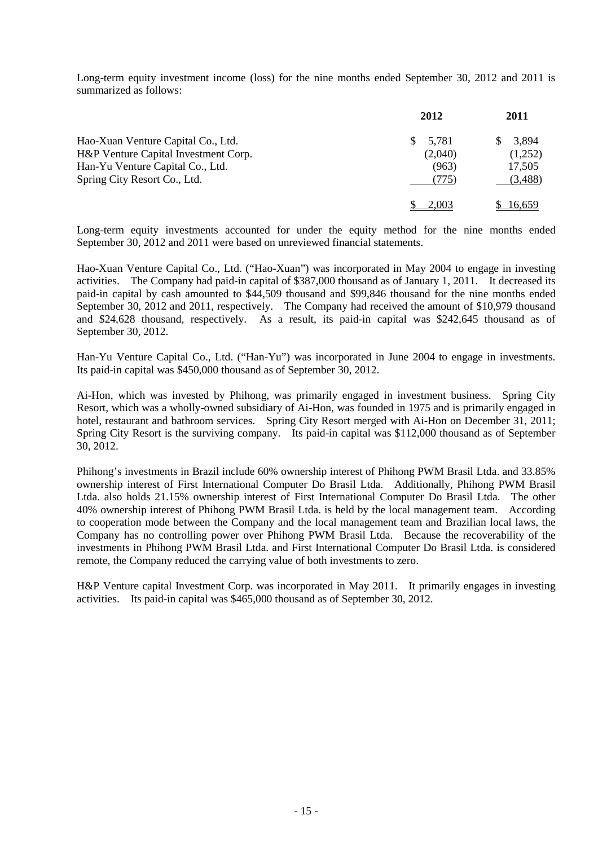Long-term equity investment income (loss) for the nine months ended September 30, 2012 and 2011 is summarized as follows:

|                                      | 2012    | 2011    |
|--------------------------------------|---------|---------|
| Hao-Xuan Venture Capital Co., Ltd.   | 5,781   | 3,894   |
| H&P Venture Capital Investment Corp. | (2,040) | (1,252) |
| Han-Yu Venture Capital Co., Ltd.     | (963)   | 17,505  |
| Spring City Resort Co., Ltd.         | (775)   | (3,488) |
|                                      | 2.003   | 16,659  |

Long-term equity investments accounted for under the equity method for the nine months ended September 30, 2012 and 2011 were based on unreviewed financial statements.

Hao-Xuan Venture Capital Co., Ltd. ("Hao-Xuan") was incorporated in May 2004 to engage in investing activities. The Company had paid-in capital of \$387,000 thousand as of January 1, 2011. It decreased its paid-in capital by cash amounted to \$44,509 thousand and \$99,846 thousand for the nine months ended September 30, 2012 and 2011, respectively. The Company had received the amount of \$10,979 thousand and \$24,628 thousand, respectively. As a result, its paid-in capital was \$242,645 thousand as of September 30, 2012.

Han-Yu Venture Capital Co., Ltd. ("Han-Yu") was incorporated in June 2004 to engage in investments. Its paid-in capital was \$450,000 thousand as of September 30, 2012.

Ai-Hon, which was invested by Phihong, was primarily engaged in investment business. Spring City Resort, which was a wholly-owned subsidiary of Ai-Hon, was founded in 1975 and is primarily engaged in hotel, restaurant and bathroom services. Spring City Resort merged with Ai-Hon on December 31, 2011; Spring City Resort is the surviving company. Its paid-in capital was \$112,000 thousand as of September 30, 2012.

Phihong's investments in Brazil include 60% ownership interest of Phihong PWM Brasil Ltda. and 33.85% ownership interest of First International Computer Do Brasil Ltda. Additionally, Phihong PWM Brasil Ltda. also holds 21.15% ownership interest of First International Computer Do Brasil Ltda. The other 40% ownership interest of Phihong PWM Brasil Ltda. is held by the local management team. According to cooperation mode between the Company and the local management team and Brazilian local laws, the Company has no controlling power over Phihong PWM Brasil Ltda. Because the recoverability of the investments in Phihong PWM Brasil Ltda. and First International Computer Do Brasil Ltda. is considered remote, the Company reduced the carrying value of both investments to zero.

H&P Venture capital Investment Corp. was incorporated in May 2011. It primarily engages in investing activities. Its paid-in capital was \$465,000 thousand as of September 30, 2012.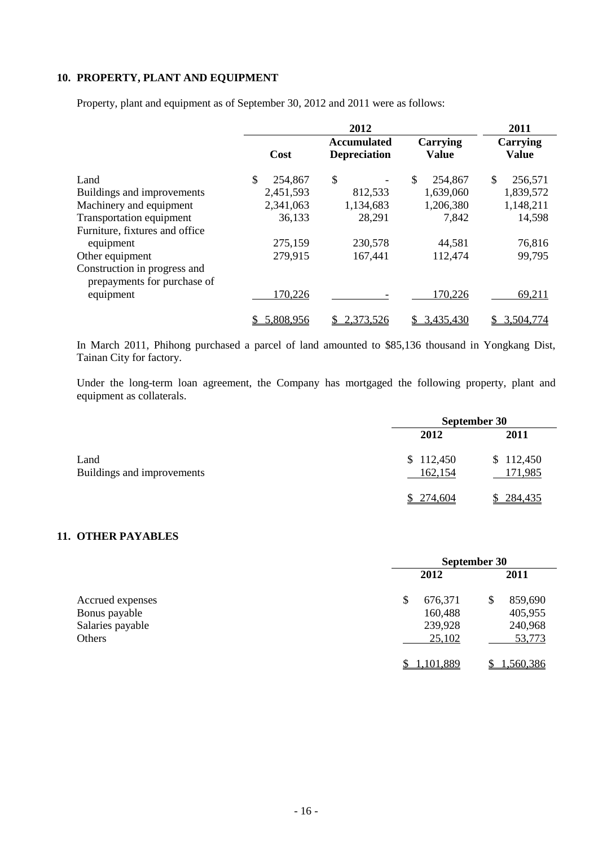### **10. PROPERTY, PLANT AND EQUIPMENT**

Property, plant and equipment as of September 30, 2012 and 2011 were as follows:

|                                                             |               | 2012                                      |                                 | 2011                     |
|-------------------------------------------------------------|---------------|-------------------------------------------|---------------------------------|--------------------------|
|                                                             | Cost          | <b>Accumulated</b><br><b>Depreciation</b> | <b>Carrying</b><br><b>Value</b> | Carrying<br><b>Value</b> |
| Land                                                        | \$<br>254,867 | \$                                        | \$<br>254,867                   | \$<br>256,571            |
| Buildings and improvements                                  | 2,451,593     | 812,533                                   | 1,639,060                       | 1,839,572                |
| Machinery and equipment                                     | 2,341,063     | 1,134,683                                 | 1,206,380                       | 1,148,211                |
| <b>Transportation equipment</b>                             | 36,133        | 28,291                                    | 7,842                           | 14,598                   |
| Furniture, fixtures and office                              |               |                                           |                                 |                          |
| equipment                                                   | 275,159       | 230,578                                   | 44,581                          | 76,816                   |
| Other equipment                                             | 279,915       | 167,441                                   | 112,474                         | 99,795                   |
| Construction in progress and<br>prepayments for purchase of |               |                                           |                                 |                          |
| equipment                                                   | 170,226       |                                           | 170,226                         | 69,211                   |
|                                                             | 5,808,956     | 2,373,526                                 | 3,435,430<br>S.                 | 3,504,774                |

In March 2011, Phihong purchased a parcel of land amounted to \$85,136 thousand in Yongkang Dist, Tainan City for factory.

Under the long-term loan agreement, the Company has mortgaged the following property, plant and equipment as collaterals.

|                                    | September 30         |                      |  |
|------------------------------------|----------------------|----------------------|--|
|                                    | 2012                 | 2011                 |  |
| Land<br>Buildings and improvements | \$112,450<br>162,154 | \$112,450<br>171,985 |  |
|                                    | \$274,604            | \$284,435            |  |

#### **11. OTHER PAYABLES**

|                  | September 30  |               |
|------------------|---------------|---------------|
|                  | 2012          | 2011          |
| Accrued expenses | \$<br>676,371 | 859,690<br>\$ |
| Bonus payable    | 160,488       | 405,955       |
| Salaries payable | 239,928       | 240,968       |
| Others           | 25,102        | 53,773        |
|                  | 1,101,889     | 1,560,386     |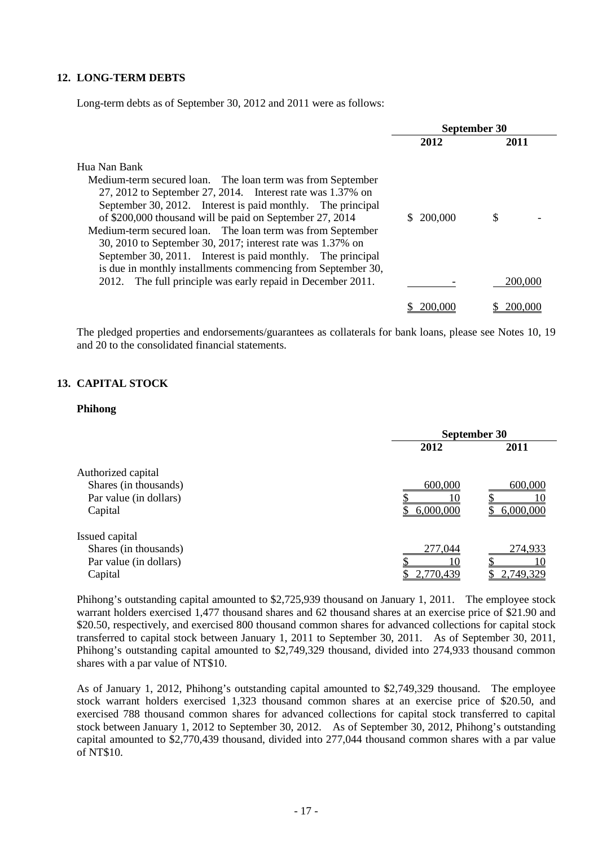#### **12. LONG-TERM DEBTS**

Long-term debts as of September 30, 2012 and 2011 were as follows:

|                                                                                                                                                                                                                                                                                                                                                                                                                                                                                                                                | September 30  |         |
|--------------------------------------------------------------------------------------------------------------------------------------------------------------------------------------------------------------------------------------------------------------------------------------------------------------------------------------------------------------------------------------------------------------------------------------------------------------------------------------------------------------------------------|---------------|---------|
|                                                                                                                                                                                                                                                                                                                                                                                                                                                                                                                                | 2012          | 2011    |
| Hua Nan Bank<br>Medium-term secured loan. The loan term was from September<br>27, 2012 to September 27, 2014. Interest rate was 1.37% on<br>September 30, 2012. Interest is paid monthly. The principal<br>of \$200,000 thousand will be paid on September 27, 2014<br>Medium-term secured loan. The loan term was from September<br>30, 2010 to September 30, 2017; interest rate was 1.37% on<br>September 30, 2011. Interest is paid monthly. The principal<br>is due in monthly installments commencing from September 30, | 200,000<br>S. | S       |
| The full principle was early repaid in December 2011.<br>2012.                                                                                                                                                                                                                                                                                                                                                                                                                                                                 |               | 200.000 |
|                                                                                                                                                                                                                                                                                                                                                                                                                                                                                                                                | 200.000       | 200,000 |

The pledged properties and endorsements/guarantees as collaterals for bank loans, please see Notes 10, 19 and 20 to the consolidated financial statements.

#### **13. CAPITAL STOCK**

#### **Phihong**

|                        |           | September 30 |
|------------------------|-----------|--------------|
|                        | 2012      | 2011         |
| Authorized capital     |           |              |
| Shares (in thousands)  | 600,000   | 600,000      |
| Par value (in dollars) |           |              |
| Capital                | 6,000,000 | 6,000,000    |
| Issued capital         |           |              |
| Shares (in thousands)  | 277,044   | 274,933      |
| Par value (in dollars) |           | 10           |
| Capital                | 2,770,439 | 2,749,329    |
|                        |           |              |

Phihong's outstanding capital amounted to \$2,725,939 thousand on January 1, 2011. The employee stock warrant holders exercised 1,477 thousand shares and 62 thousand shares at an exercise price of \$21.90 and \$20.50, respectively, and exercised 800 thousand common shares for advanced collections for capital stock transferred to capital stock between January 1, 2011 to September 30, 2011. As of September 30, 2011, Phihong's outstanding capital amounted to \$2,749,329 thousand, divided into 274,933 thousand common shares with a par value of NT\$10.

As of January 1, 2012, Phihong's outstanding capital amounted to \$2,749,329 thousand. The employee stock warrant holders exercised 1,323 thousand common shares at an exercise price of \$20.50, and exercised 788 thousand common shares for advanced collections for capital stock transferred to capital stock between January 1, 2012 to September 30, 2012. As of September 30, 2012, Phihong's outstanding capital amounted to \$2,770,439 thousand, divided into 277,044 thousand common shares with a par value of NT\$10.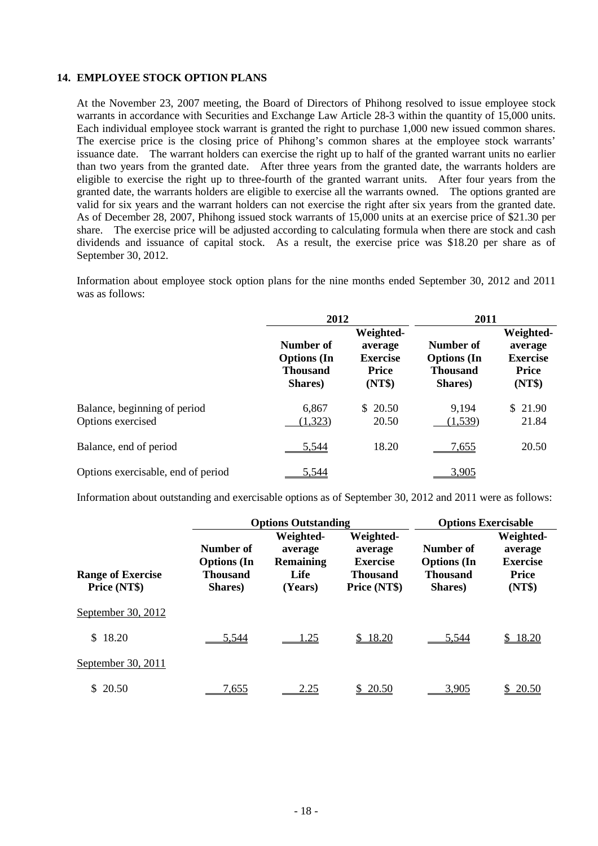#### **14. EMPLOYEE STOCK OPTION PLANS**

At the November 23, 2007 meeting, the Board of Directors of Phihong resolved to issue employee stock warrants in accordance with Securities and Exchange Law Article 28-3 within the quantity of 15,000 units. Each individual employee stock warrant is granted the right to purchase 1,000 new issued common shares. The exercise price is the closing price of Phihong's common shares at the employee stock warrants' issuance date. The warrant holders can exercise the right up to half of the granted warrant units no earlier than two years from the granted date. After three years from the granted date, the warrants holders are eligible to exercise the right up to three-fourth of the granted warrant units. After four years from the granted date, the warrants holders are eligible to exercise all the warrants owned. The options granted are valid for six years and the warrant holders can not exercise the right after six years from the granted date. As of December 28, 2007, Phihong issued stock warrants of 15,000 units at an exercise price of \$21.30 per share. The exercise price will be adjusted according to calculating formula when there are stock and cash dividends and issuance of capital stock. As a result, the exercise price was \$18.20 per share as of September 30, 2012.

Information about employee stock option plans for the nine months ended September 30, 2012 and 2011 was as follows:

|                                                   | 2012                                                          |                                                                   | 2011                                                          |                                                                   |  |
|---------------------------------------------------|---------------------------------------------------------------|-------------------------------------------------------------------|---------------------------------------------------------------|-------------------------------------------------------------------|--|
|                                                   | Number of<br><b>Options</b> (In<br><b>Thousand</b><br>Shares) | Weighted-<br>average<br><b>Exercise</b><br><b>Price</b><br>(NT\$) | Number of<br><b>Options</b> (In<br><b>Thousand</b><br>Shares) | Weighted-<br>average<br><b>Exercise</b><br><b>Price</b><br>(NT\$) |  |
| Balance, beginning of period<br>Options exercised | 6,867<br>(1,323)                                              | \$20.50<br>20.50                                                  | 9,194<br>(1,539)                                              | \$21.90<br>21.84                                                  |  |
| Balance, end of period                            | 5.544                                                         | 18.20                                                             | <u>7.655</u>                                                  | 20.50                                                             |  |
| Options exercisable, end of period                | 5.544                                                         |                                                                   | 3.905                                                         |                                                                   |  |

Information about outstanding and exercisable options as of September 30, 2012 and 2011 were as follows:

|                                          |                                                               | <b>Options Outstanding</b>                                  | <b>Options Exercisable</b>                                                 |                                                        |                                                                   |
|------------------------------------------|---------------------------------------------------------------|-------------------------------------------------------------|----------------------------------------------------------------------------|--------------------------------------------------------|-------------------------------------------------------------------|
| <b>Range of Exercise</b><br>Price (NT\$) | Number of<br><b>Options</b> (In<br><b>Thousand</b><br>Shares) | Weighted-<br>average<br><b>Remaining</b><br>Life<br>(Years) | Weighted-<br>average<br><b>Exercise</b><br><b>Thousand</b><br>Price (NT\$) | Number of<br><b>Options</b> (In<br>Thousand<br>Shares) | Weighted-<br>average<br><b>Exercise</b><br><b>Price</b><br>(NT\$) |
| September 30, 2012                       |                                                               |                                                             |                                                                            |                                                        |                                                                   |
| \$18.20                                  | 5,544                                                         | 1.25                                                        | \$18.20                                                                    | 5.544                                                  | \$18.20                                                           |
| September 30, 2011                       |                                                               |                                                             |                                                                            |                                                        |                                                                   |
| \$20.50                                  | 7.655                                                         | 2.25                                                        | \$20.50                                                                    | 3.905                                                  | 20.50                                                             |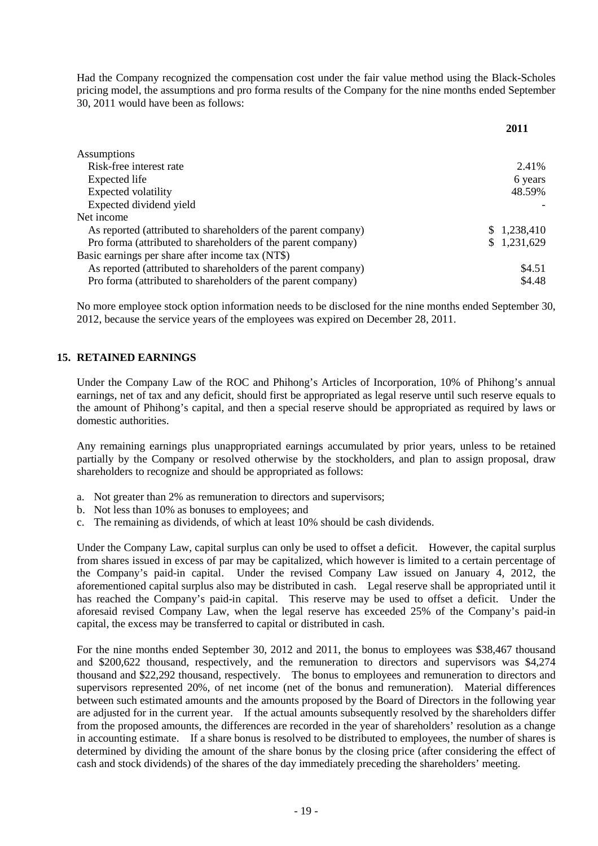Had the Company recognized the compensation cost under the fair value method using the Black-Scholes pricing model, the assumptions and pro forma results of the Company for the nine months ended September 30, 2011 would have been as follows:

|                                                                | 2011        |
|----------------------------------------------------------------|-------------|
| Assumptions                                                    |             |
| Risk-free interest rate                                        | 2.41%       |
| Expected life                                                  | 6 years     |
| <b>Expected volatility</b>                                     | 48.59%      |
| Expected dividend yield                                        |             |
| Net income                                                     |             |
| As reported (attributed to shareholders of the parent company) | \$1,238,410 |
| Pro forma (attributed to shareholders of the parent company)   | \$1,231,629 |
| Basic earnings per share after income tax (NT\$)               |             |
| As reported (attributed to shareholders of the parent company) | \$4.51      |
| Pro forma (attributed to shareholders of the parent company)   | \$4.48      |

No more employee stock option information needs to be disclosed for the nine months ended September 30, 2012, because the service years of the employees was expired on December 28, 2011.

#### **15. RETAINED EARNINGS**

Under the Company Law of the ROC and Phihong's Articles of Incorporation, 10% of Phihong's annual earnings, net of tax and any deficit, should first be appropriated as legal reserve until such reserve equals to the amount of Phihong's capital, and then a special reserve should be appropriated as required by laws or domestic authorities.

Any remaining earnings plus unappropriated earnings accumulated by prior years, unless to be retained partially by the Company or resolved otherwise by the stockholders, and plan to assign proposal, draw shareholders to recognize and should be appropriated as follows:

- a. Not greater than 2% as remuneration to directors and supervisors;
- b. Not less than 10% as bonuses to employees; and
- c. The remaining as dividends, of which at least 10% should be cash dividends.

Under the Company Law, capital surplus can only be used to offset a deficit. However, the capital surplus from shares issued in excess of par may be capitalized, which however is limited to a certain percentage of the Company's paid-in capital. Under the revised Company Law issued on January 4, 2012, the aforementioned capital surplus also may be distributed in cash. Legal reserve shall be appropriated until it has reached the Company's paid-in capital. This reserve may be used to offset a deficit. Under the aforesaid revised Company Law, when the legal reserve has exceeded 25% of the Company's paid-in capital, the excess may be transferred to capital or distributed in cash.

For the nine months ended September 30, 2012 and 2011, the bonus to employees was \$38,467 thousand and \$200,622 thousand, respectively, and the remuneration to directors and supervisors was \$4,274 thousand and \$22,292 thousand, respectively. The bonus to employees and remuneration to directors and supervisors represented 20%, of net income (net of the bonus and remuneration). Material differences between such estimated amounts and the amounts proposed by the Board of Directors in the following year are adjusted for in the current year. If the actual amounts subsequently resolved by the shareholders differ from the proposed amounts, the differences are recorded in the year of shareholders' resolution as a change in accounting estimate. If a share bonus is resolved to be distributed to employees, the number of shares is determined by dividing the amount of the share bonus by the closing price (after considering the effect of cash and stock dividends) of the shares of the day immediately preceding the shareholders' meeting.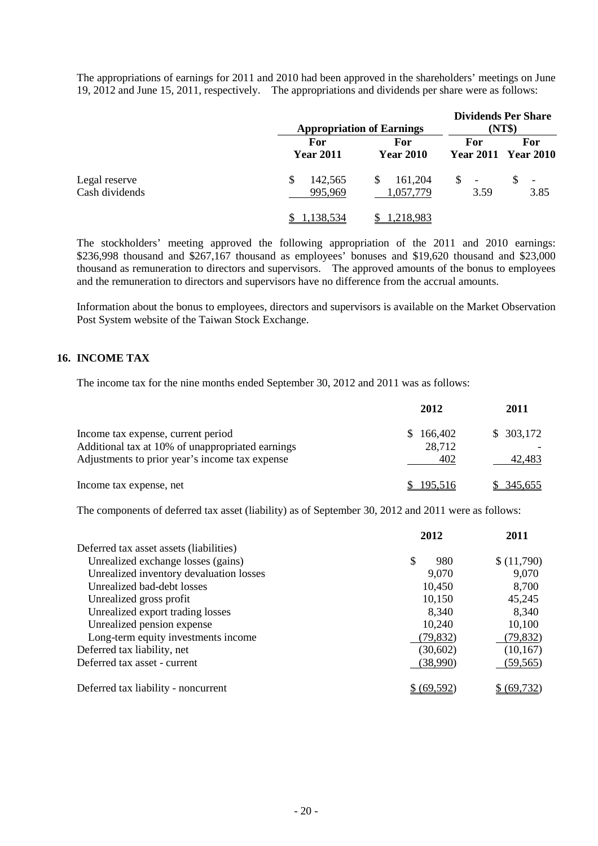The appropriations of earnings for 2011 and 2010 had been approved in the shareholders' meetings on June 19, 2012 and June 15, 2011, respectively. The appropriations and dividends per share were as follows:

|                                 |                                | <b>Appropriation of Earnings</b> |                        | <b>Dividends Per Share</b><br>(NT\$) |  |  |
|---------------------------------|--------------------------------|----------------------------------|------------------------|--------------------------------------|--|--|
|                                 | <b>For</b><br><b>Year 2011</b> | For<br><b>Year 2010</b>          | For                    | For<br><b>Year 2011 Year 2010</b>    |  |  |
| Legal reserve<br>Cash dividends | S<br>142,565<br>995,969        | 161,204<br>\$<br>1,057,779       | $\mathbb{S}$ -<br>3.59 | $\overline{\phantom{a}}$<br>3.85     |  |  |
|                                 | <u>1,138,534</u>               | 1,218,983                        |                        |                                      |  |  |

The stockholders' meeting approved the following appropriation of the 2011 and 2010 earnings: \$236,998 thousand and \$267,167 thousand as employees' bonuses and \$19,620 thousand and \$23,000 thousand as remuneration to directors and supervisors. The approved amounts of the bonus to employees and the remuneration to directors and supervisors have no difference from the accrual amounts.

Information about the bonus to employees, directors and supervisors is available on the Market Observation Post System website of the Taiwan Stock Exchange.

#### **16. INCOME TAX**

The income tax for the nine months ended September 30, 2012 and 2011 was as follows:

|                                                                                        | 2012                     | 2011       |
|----------------------------------------------------------------------------------------|--------------------------|------------|
| Income tax expense, current period<br>Additional tax at 10% of unappropriated earnings | 166,402<br>SS.<br>28,712 | \$303,172  |
| Adjustments to prior year's income tax expense                                         | 402                      | 42,483     |
| Income tax expense, net                                                                | \$195,516                | \$ 345,655 |

The components of deferred tax asset (liability) as of September 30, 2012 and 2011 were as follows:

|                                         | 2012       | 2011       |
|-----------------------------------------|------------|------------|
| Deferred tax asset assets (liabilities) |            |            |
| Unrealized exchange losses (gains)      | \$<br>980  | \$(11,790) |
| Unrealized inventory devaluation losses | 9,070      | 9,070      |
| Unrealized bad-debt losses              | 10,450     | 8,700      |
| Unrealized gross profit                 | 10,150     | 45,245     |
| Unrealized export trading losses        | 8,340      | 8,340      |
| Unrealized pension expense              | 10,240     | 10,100     |
| Long-term equity investments income     | (79, 832)  | (79, 832)  |
| Deferred tax liability, net             | (30,602)   | (10, 167)  |
| Deferred tax asset - current            | (38,990)   | (59, 565)  |
| Deferred tax liability - noncurrent     | \$ (69.592 | (69.732)   |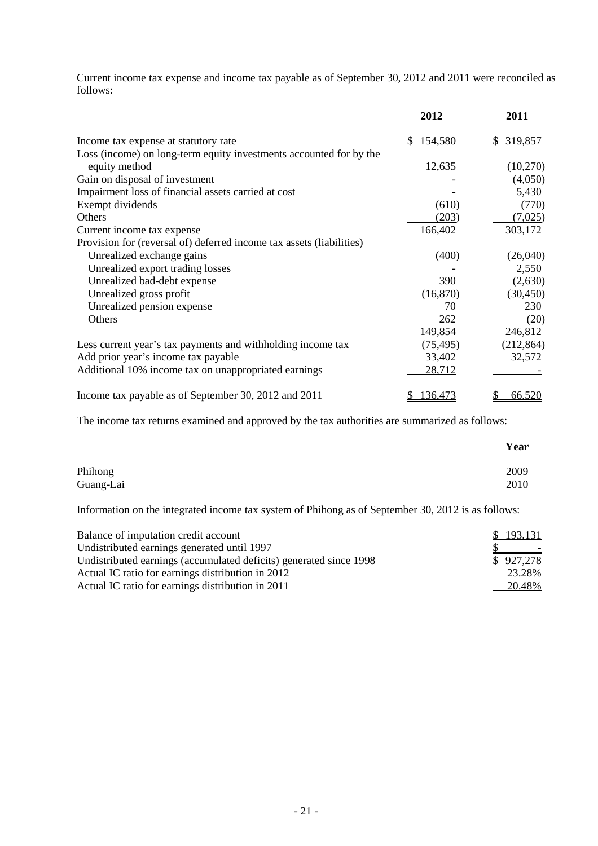Current income tax expense and income tax payable as of September 30, 2012 and 2011 were reconciled as follows:

|                                                                      | 2012          | 2011          |
|----------------------------------------------------------------------|---------------|---------------|
| Income tax expense at statutory rate                                 | 154,580<br>S. | 319,857<br>S. |
| Loss (income) on long-term equity investments accounted for by the   |               |               |
| equity method                                                        | 12,635        | (10,270)      |
| Gain on disposal of investment                                       |               | (4,050)       |
| Impairment loss of financial assets carried at cost                  |               | 5,430         |
| Exempt dividends                                                     | (610)         | (770)         |
| Others                                                               | (203)         | (7,025)       |
| Current income tax expense                                           | 166,402       | 303,172       |
| Provision for (reversal of) deferred income tax assets (liabilities) |               |               |
| Unrealized exchange gains                                            | (400)         | (26,040)      |
| Unrealized export trading losses                                     |               | 2,550         |
| Unrealized bad-debt expense                                          | 390           | (2,630)       |
| Unrealized gross profit                                              | (16, 870)     | (30, 450)     |
| Unrealized pension expense                                           | 70            | 230           |
| Others                                                               | 262           | (20)          |
|                                                                      | 149,854       | 246,812       |
| Less current year's tax payments and withholding income tax          | (75, 495)     | (212, 864)    |
| Add prior year's income tax payable                                  | 33,402        | 32,572        |
| Additional 10% income tax on unappropriated earnings                 | 28,712        |               |
| Income tax payable as of September 30, 2012 and 2011                 | 136,473       | 66,520<br>\$  |

The income tax returns examined and approved by the tax authorities are summarized as follows:

|           | Year         |
|-----------|--------------|
| Phihong   | 2009<br>2010 |
| Guang-Lai |              |

Information on the integrated income tax system of Phihong as of September 30, 2012 is as follows:

| Balance of imputation credit account                               | \$193,131                           |
|--------------------------------------------------------------------|-------------------------------------|
| Undistributed earnings generated until 1997                        | and the contract of the contract of |
| Undistributed earnings (accumulated deficits) generated since 1998 | \$927,278                           |
| Actual IC ratio for earnings distribution in 2012                  | 23.28%                              |
| Actual IC ratio for earnings distribution in 2011                  | 20.48%                              |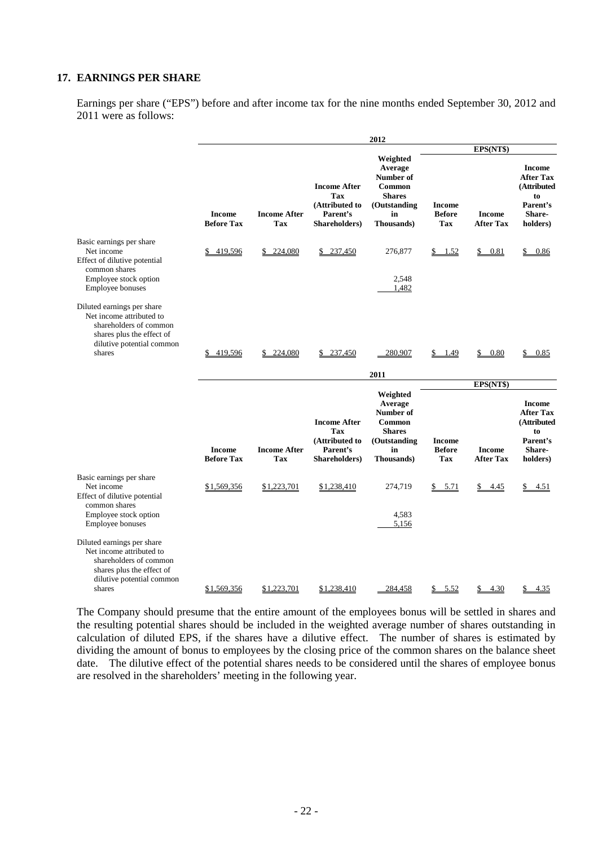#### **17. EARNINGS PER SHARE**

Earnings per share ("EPS") before and after income tax for the nine months ended September 30, 2012 and 2011 were as follows:

|                                                                                                                                                      |                                    |                            |                                                                                  | 2012                                                                                                    |                                              |                                   |                                                                                                      |
|------------------------------------------------------------------------------------------------------------------------------------------------------|------------------------------------|----------------------------|----------------------------------------------------------------------------------|---------------------------------------------------------------------------------------------------------|----------------------------------------------|-----------------------------------|------------------------------------------------------------------------------------------------------|
|                                                                                                                                                      |                                    |                            |                                                                                  |                                                                                                         |                                              | EPS(NT\$)                         |                                                                                                      |
|                                                                                                                                                      | <b>Income</b><br><b>Before Tax</b> | <b>Income After</b><br>Tax | <b>Income After</b><br>Tax<br>(Attributed to<br>Parent's<br>Shareholders)        | Weighted<br>Average<br>Number of<br>Common<br><b>Shares</b><br>(Outstanding<br>in<br>Thousands)         | <b>Income</b><br><b>Before</b><br><b>Tax</b> | <b>Income</b><br><b>After Tax</b> | <b>Income</b><br><b>After Tax</b><br>(Attributed<br>to<br>Parent's<br><b>Share-</b><br>holders)      |
| Basic earnings per share<br>Net income<br>Effect of dilutive potential                                                                               | 419,596                            | 224,080<br>\$              | \$237,450                                                                        | 276,877                                                                                                 | \$1.52                                       | \$ 0.81                           | \$0.86                                                                                               |
| common shares<br>Employee stock option<br><b>Employee bonuses</b>                                                                                    |                                    |                            |                                                                                  | 2,548<br>1,482                                                                                          |                                              |                                   |                                                                                                      |
| Diluted earnings per share<br>Net income attributed to<br>shareholders of common<br>shares plus the effect of<br>dilutive potential common<br>shares | 419,596                            | 224,080<br>\$.             | 237,450                                                                          | 280,907                                                                                                 | \$<br><u>1.49</u>                            | 0.80<br>\$                        | 0.85                                                                                                 |
|                                                                                                                                                      |                                    |                            |                                                                                  | 2011                                                                                                    |                                              | EPS(NT\$)                         |                                                                                                      |
|                                                                                                                                                      | Income<br><b>Before Tax</b>        | <b>Income After</b><br>Tax | <b>Income After</b><br><b>Tax</b><br>(Attributed to<br>Parent's<br>Shareholders) | Weighted<br>Average<br>Number of<br>Common<br><b>Shares</b><br>(Outstanding<br>in<br><b>Thousands</b> ) | Income<br><b>Before</b><br>Tax               | <b>Income</b><br><b>After Tax</b> | <b>Income</b><br><b>After Tax</b><br>(Attributed<br>t <sub>0</sub><br>Parent's<br>Share-<br>holders) |
| Basic earnings per share<br>Net income<br>Effect of dilutive potential<br>common shares<br>Employee stock option                                     | \$1,569,356                        | \$1,223,701                | \$1,238,410                                                                      | 274,719<br>4,583                                                                                        | \$5.71                                       | \$4.45                            | \$4.51                                                                                               |
| Employee bonuses                                                                                                                                     |                                    |                            |                                                                                  | 5,156                                                                                                   |                                              |                                   |                                                                                                      |
| Diluted earnings per share<br>Net income attributed to<br>shareholders of common<br>shares plus the effect of<br>dilutive potential common<br>shares | \$1,569,356                        | \$1,223,701                | \$1,238,410                                                                      | 284,458                                                                                                 | 5.52<br>\$                                   | 4.30                              | 4.35<br>S                                                                                            |

The Company should presume that the entire amount of the employees bonus will be settled in shares and the resulting potential shares should be included in the weighted average number of shares outstanding in calculation of diluted EPS, if the shares have a dilutive effect. The number of shares is estimated by dividing the amount of bonus to employees by the closing price of the common shares on the balance sheet date. The dilutive effect of the potential shares needs to be considered until the shares of employee bonus are resolved in the shareholders' meeting in the following year.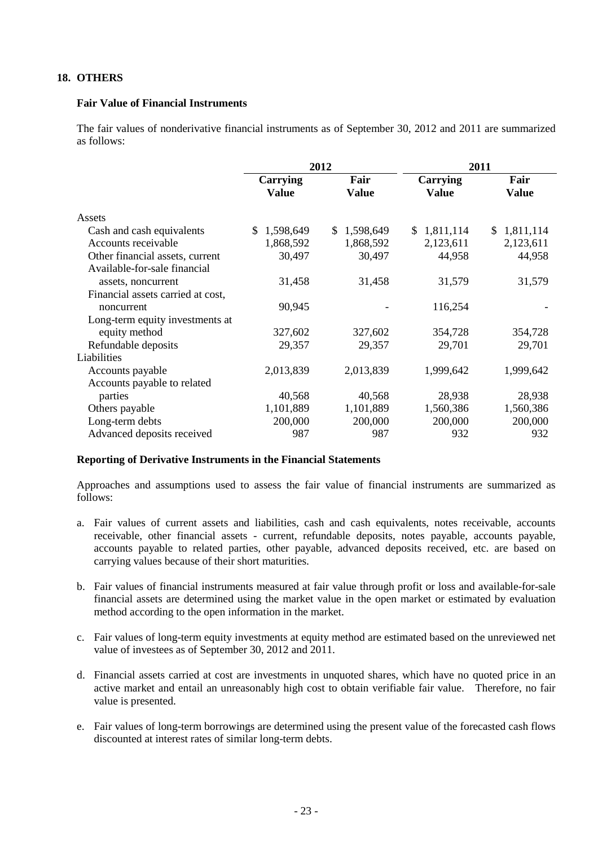#### **18. OTHERS**

#### **Fair Value of Financial Instruments**

The fair values of nonderivative financial instruments as of September 30, 2012 and 2011 are summarized as follows:

|                                   |                                 | 2012                 | 2011                     |                      |  |
|-----------------------------------|---------------------------------|----------------------|--------------------------|----------------------|--|
|                                   | <b>Carrying</b><br><b>Value</b> | Fair<br><b>Value</b> | <b>Carrying</b><br>Value | Fair<br><b>Value</b> |  |
| Assets                            |                                 |                      |                          |                      |  |
| Cash and cash equivalents         | 1,598,649<br>\$.                | 1,598,649<br>\$.     | \$1,811,114              | 1,811,114<br>S.      |  |
| Accounts receivable               | 1,868,592                       | 1,868,592            | 2,123,611                | 2,123,611            |  |
| Other financial assets, current   | 30,497                          | 30,497               | 44,958                   | 44,958               |  |
| Available-for-sale financial      |                                 |                      |                          |                      |  |
| assets, noncurrent                | 31,458                          | 31,458               | 31,579                   | 31,579               |  |
| Financial assets carried at cost, |                                 |                      |                          |                      |  |
| noncurrent                        | 90,945                          |                      | 116,254                  |                      |  |
| Long-term equity investments at   |                                 |                      |                          |                      |  |
| equity method                     | 327,602                         | 327,602              | 354,728                  | 354,728              |  |
| Refundable deposits               | 29,357                          | 29,357               | 29,701                   | 29,701               |  |
| Liabilities                       |                                 |                      |                          |                      |  |
| Accounts payable                  | 2,013,839                       | 2,013,839            | 1,999,642                | 1,999,642            |  |
| Accounts payable to related       |                                 |                      |                          |                      |  |
| parties                           | 40,568                          | 40,568               | 28,938                   | 28,938               |  |
| Others payable                    | 1,101,889                       | 1,101,889            | 1,560,386                | 1,560,386            |  |
| Long-term debts                   | 200,000                         | 200,000              | 200,000                  | 200,000              |  |
| Advanced deposits received        | 987                             | 987                  | 932                      | 932                  |  |

#### **Reporting of Derivative Instruments in the Financial Statements**

Approaches and assumptions used to assess the fair value of financial instruments are summarized as follows:

- a. Fair values of current assets and liabilities, cash and cash equivalents, notes receivable, accounts receivable, other financial assets - current, refundable deposits, notes payable, accounts payable, accounts payable to related parties, other payable, advanced deposits received, etc. are based on carrying values because of their short maturities.
- b. Fair values of financial instruments measured at fair value through profit or loss and available-for-sale financial assets are determined using the market value in the open market or estimated by evaluation method according to the open information in the market.
- c. Fair values of long-term equity investments at equity method are estimated based on the unreviewed net value of investees as of September 30, 2012 and 2011.
- d. Financial assets carried at cost are investments in unquoted shares, which have no quoted price in an active market and entail an unreasonably high cost to obtain verifiable fair value. Therefore, no fair value is presented.
- e. Fair values of long-term borrowings are determined using the present value of the forecasted cash flows discounted at interest rates of similar long-term debts.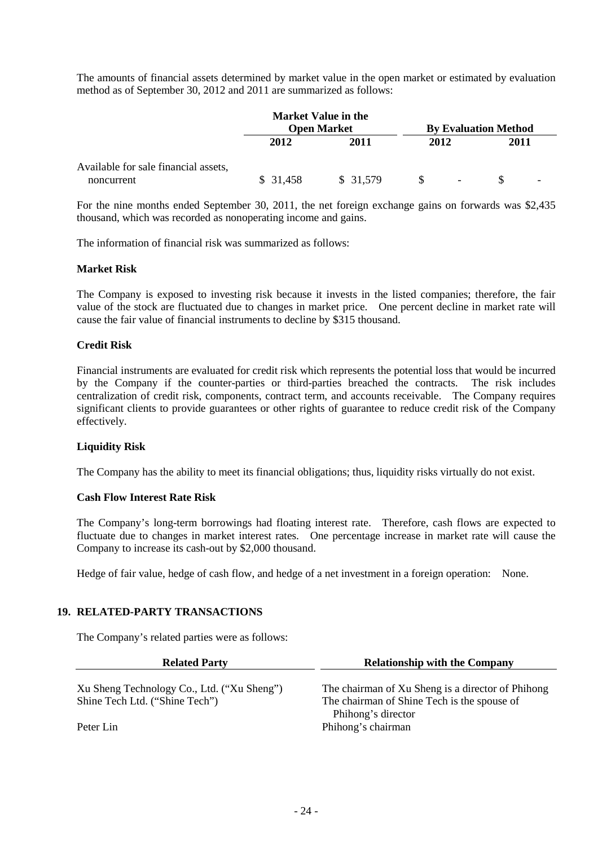The amounts of financial assets determined by market value in the open market or estimated by evaluation method as of September 30, 2012 and 2011 are summarized as follows:

|                                                    |          | <b>Market Value in the</b><br><b>Open Market</b> |      |        | <b>By Evaluation Method</b> |                          |
|----------------------------------------------------|----------|--------------------------------------------------|------|--------|-----------------------------|--------------------------|
|                                                    | 2012     | 2011                                             | 2012 |        | 2011                        |                          |
| Available for sale financial assets,<br>noncurrent | \$31,458 | \$31,579                                         |      | $\sim$ |                             | $\overline{\phantom{0}}$ |

For the nine months ended September 30, 2011, the net foreign exchange gains on forwards was \$2,435 thousand, which was recorded as nonoperating income and gains.

The information of financial risk was summarized as follows:

#### **Market Risk**

The Company is exposed to investing risk because it invests in the listed companies; therefore, the fair value of the stock are fluctuated due to changes in market price. One percent decline in market rate will cause the fair value of financial instruments to decline by \$315 thousand.

#### **Credit Risk**

Financial instruments are evaluated for credit risk which represents the potential loss that would be incurred by the Company if the counter-parties or third-parties breached the contracts. The risk includes centralization of credit risk, components, contract term, and accounts receivable. The Company requires significant clients to provide guarantees or other rights of guarantee to reduce credit risk of the Company effectively.

#### **Liquidity Risk**

The Company has the ability to meet its financial obligations; thus, liquidity risks virtually do not exist.

#### **Cash Flow Interest Rate Risk**

The Company's long-term borrowings had floating interest rate. Therefore, cash flows are expected to fluctuate due to changes in market interest rates. One percentage increase in market rate will cause the Company to increase its cash-out by \$2,000 thousand.

Hedge of fair value, hedge of cash flow, and hedge of a net investment in a foreign operation: None.

#### **19. RELATED-PARTY TRANSACTIONS**

The Company's related parties were as follows:

| <b>Related Party</b>                       | <b>Relationship with the Company</b>                              |  |  |  |
|--------------------------------------------|-------------------------------------------------------------------|--|--|--|
| Xu Sheng Technology Co., Ltd. ("Xu Sheng") | The chairman of Xu Sheng is a director of Phihong                 |  |  |  |
| Shine Tech Ltd. ("Shine Tech")             | The chairman of Shine Tech is the spouse of<br>Phihong's director |  |  |  |
| Peter Lin                                  | Phihong's chairman                                                |  |  |  |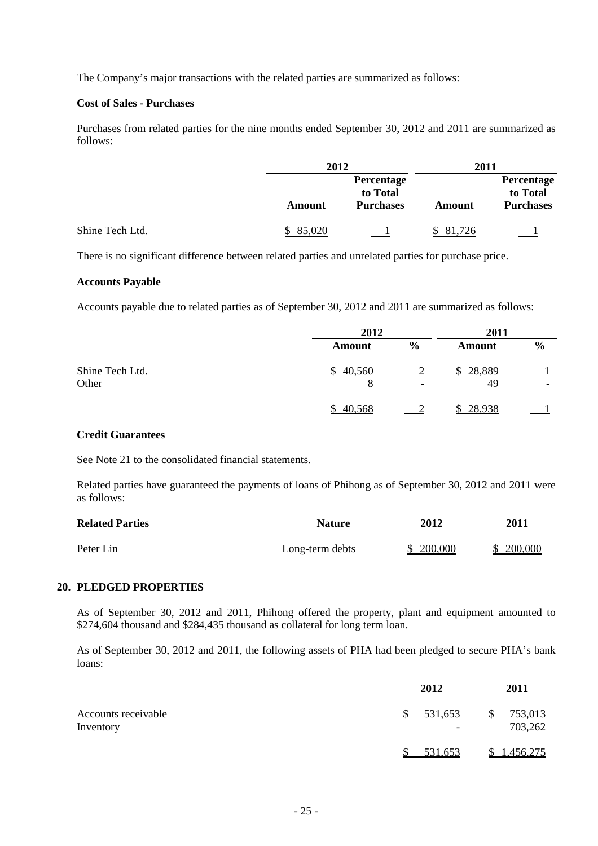The Company's major transactions with the related parties are summarized as follows:

#### **Cost of Sales - Purchases**

Purchases from related parties for the nine months ended September 30, 2012 and 2011 are summarized as follows:

|                 |        | 2012                                       |          | 2011                                       |
|-----------------|--------|--------------------------------------------|----------|--------------------------------------------|
|                 | Amount | Percentage<br>to Total<br><b>Purchases</b> | Amount   | Percentage<br>to Total<br><b>Purchases</b> |
| Shine Tech Ltd. | 85,020 |                                            | \$81,726 |                                            |

There is no significant difference between related parties and unrelated parties for purchase price.

#### **Accounts Payable**

Accounts payable due to related parties as of September 30, 2012 and 2011 are summarized as follows:

|                          | 2012          |                          | 2011           |               |
|--------------------------|---------------|--------------------------|----------------|---------------|
|                          | <b>Amount</b> | $\frac{0}{0}$            | <b>Amount</b>  | $\frac{6}{9}$ |
| Shine Tech Ltd.<br>Other | \$40,560      | $\overline{\phantom{0}}$ | \$28,889<br>49 |               |
|                          | 40,568<br>S.  |                          | 28,938         |               |

### **Credit Guarantees**

See Note 21 to the consolidated financial statements.

Related parties have guaranteed the payments of loans of Phihong as of September 30, 2012 and 2011 were as follows:

| <b>Related Parties</b> | <b>Nature</b>   | 2012      | 2011      |
|------------------------|-----------------|-----------|-----------|
| Peter Lin              | Long-term debts | \$200,000 | \$200,000 |

#### **20. PLEDGED PROPERTIES**

As of September 30, 2012 and 2011, Phihong offered the property, plant and equipment amounted to \$274,604 thousand and \$284,435 thousand as collateral for long term loan.

As of September 30, 2012 and 2011, the following assets of PHA had been pledged to secure PHA's bank loans:

|                                  | 2012           | 2011                                |
|----------------------------------|----------------|-------------------------------------|
| Accounts receivable<br>Inventory | \$531,653<br>۰ | 753,013<br>$\mathcal{S}$<br>703,262 |
|                                  | 531,653        | 1,456,275                           |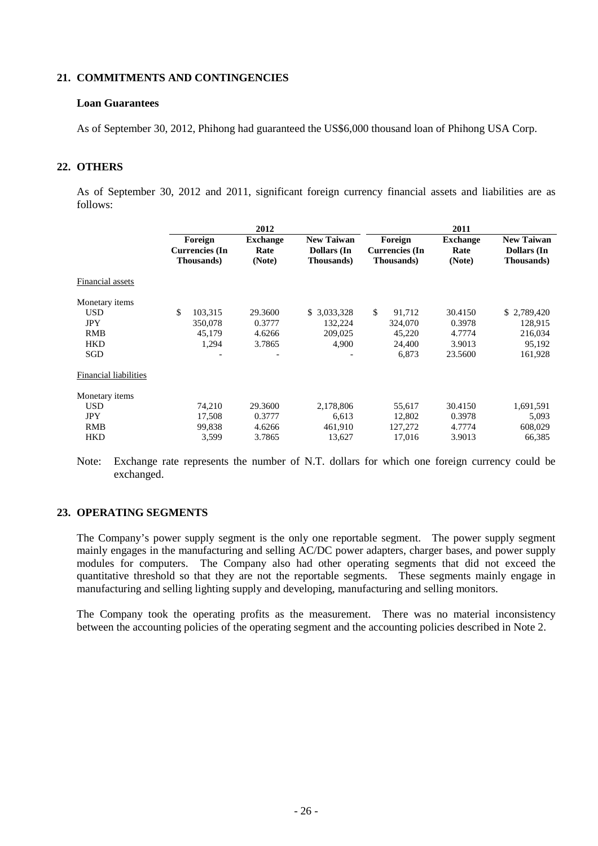#### **21. COMMITMENTS AND CONTINGENCIES**

#### **Loan Guarantees**

As of September 30, 2012, Phihong had guaranteed the US\$6,000 thousand loan of Phihong USA Corp.

#### **22. OTHERS**

As of September 30, 2012 and 2011, significant foreign currency financial assets and liabilities are as follows:

|               | 2012                                                   |                                                               |              | 2011                                                   |                                                               |
|---------------|--------------------------------------------------------|---------------------------------------------------------------|--------------|--------------------------------------------------------|---------------------------------------------------------------|
|               | <b>Exchange</b><br>Rate<br>(Note)                      | <b>New Taiwan</b><br><b>Dollars</b> (In<br><b>Thousands</b> ) |              | <b>Exchange</b><br>Rate<br>(Note)                      | <b>New Taiwan</b><br><b>Dollars</b> (In<br><b>Thousands</b> ) |
|               |                                                        |                                                               |              |                                                        |                                                               |
|               |                                                        |                                                               |              |                                                        |                                                               |
| \$<br>103,315 | 29.3600                                                | \$ 3,033,328                                                  | \$<br>91,712 | 30.4150                                                | \$2,789,420                                                   |
| 350,078       | 0.3777                                                 | 132.224                                                       | 324,070      | 0.3978                                                 | 128,915                                                       |
| 45,179        | 4.6266                                                 | 209,025                                                       | 45,220       | 4.7774                                                 | 216,034                                                       |
| 1,294         | 3.7865                                                 | 4,900                                                         | 24,400       | 3.9013                                                 | 95,192                                                        |
|               |                                                        |                                                               | 6,873        | 23.5600                                                | 161,928                                                       |
|               |                                                        |                                                               |              |                                                        |                                                               |
|               |                                                        |                                                               |              |                                                        |                                                               |
| 74,210        | 29.3600                                                | 2,178,806                                                     | 55,617       | 30.4150                                                | 1,691,591                                                     |
| 17,508        | 0.3777                                                 | 6.613                                                         | 12,802       | 0.3978                                                 | 5,093                                                         |
| 99,838        | 4.6266                                                 | 461,910                                                       | 127,272      | 4.7774                                                 | 608,029                                                       |
| 3,599         | 3.7865                                                 | 13,627                                                        | 17,016       | 3.9013                                                 | 66,385                                                        |
|               | Foreign<br><b>Currencies</b> (In<br><b>Thousands</b> ) |                                                               |              | Foreign<br><b>Currencies</b> (In<br><b>Thousands</b> ) |                                                               |

Note: Exchange rate represents the number of N.T. dollars for which one foreign currency could be exchanged.

#### **23. OPERATING SEGMENTS**

The Company's power supply segment is the only one reportable segment. The power supply segment mainly engages in the manufacturing and selling AC/DC power adapters, charger bases, and power supply modules for computers. The Company also had other operating segments that did not exceed the quantitative threshold so that they are not the reportable segments. These segments mainly engage in manufacturing and selling lighting supply and developing, manufacturing and selling monitors.

The Company took the operating profits as the measurement. There was no material inconsistency between the accounting policies of the operating segment and the accounting policies described in Note 2.